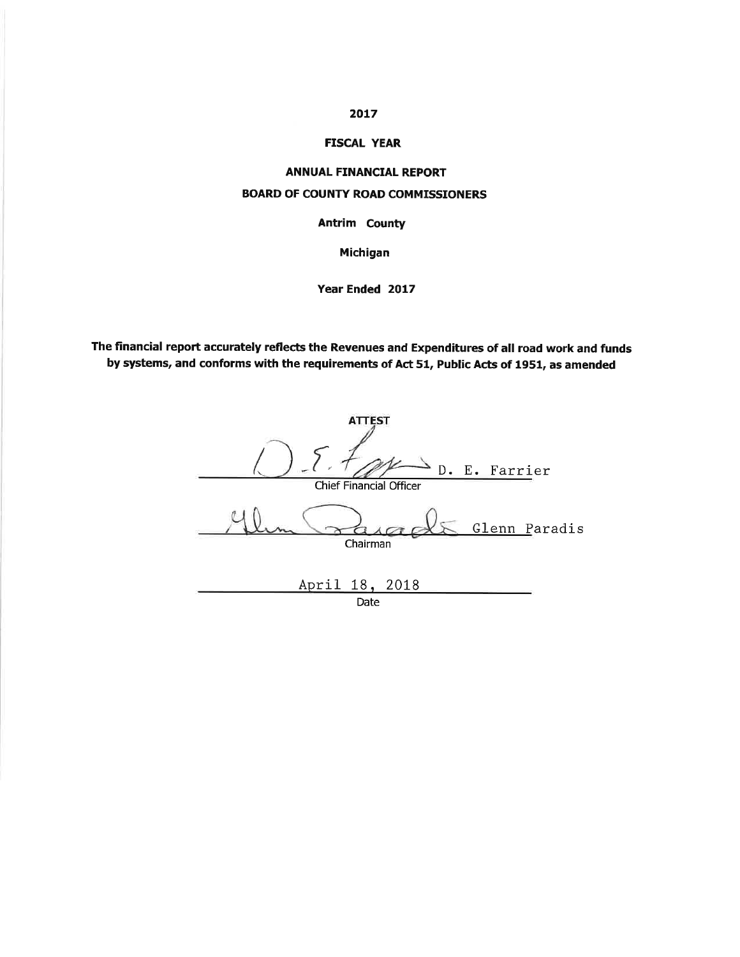# 2017

# **FISCAL YEAR**

## **ANNUAL FINANCIAL REPORT**

# **BOARD OF COUNTY ROAD COMMISSIONERS**

**Antrim County** 

Michigan

Year Ended 2017

The financial report accurately reflects the Revenues and Expenditures of all road work and funds by systems, and conforms with the requirements of Act 51, Public Acts of 1951, as amended

| <b>ATTEST</b>                                   |
|-------------------------------------------------|
| D. E. Farrier<br><b>Chief Financial Officer</b> |
| Glenn Paradis<br>Chairman                       |
| April 18, 2018                                  |

Date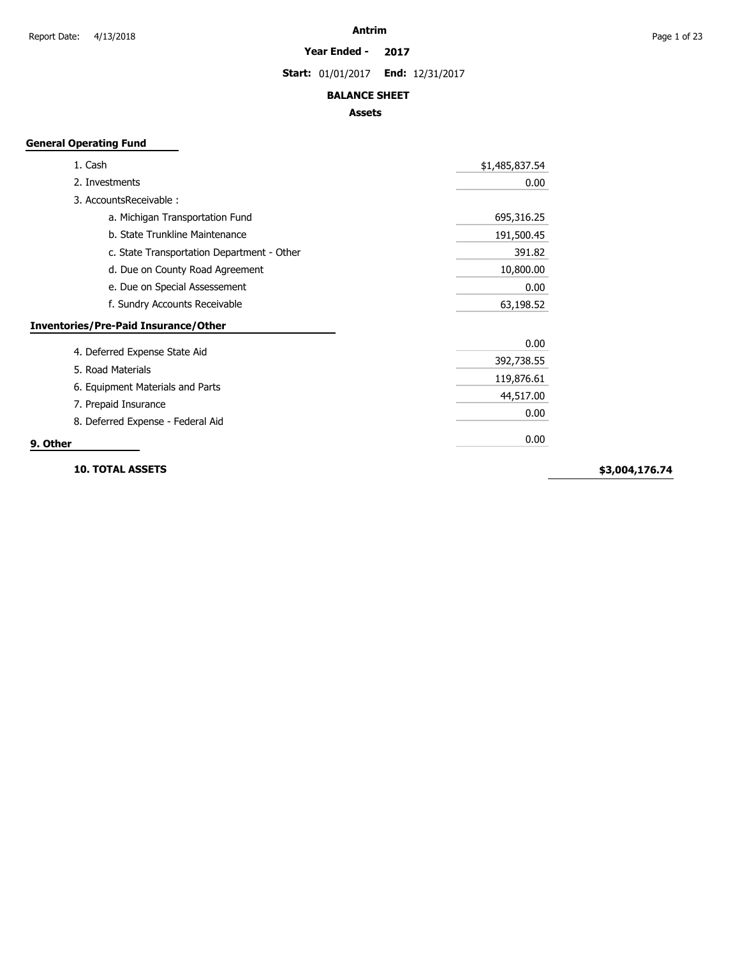#### **Year Ended - 2017**

**Start:** 01/01/2017 **End:** 12/31/2017

## **BALANCE SHEET**

# **Assets**

# **General Operating Fund**

| 1. Cash                                     | \$1,485,837.54 |
|---------------------------------------------|----------------|
| 2. Investments                              | 0.00           |
| 3. AccountsReceivable:                      |                |
| a. Michigan Transportation Fund             | 695,316.25     |
| b. State Trunkline Maintenance              | 191,500.45     |
| c. State Transportation Department - Other  | 391.82         |
| d. Due on County Road Agreement             | 10,800.00      |
| e. Due on Special Assessement               | 0.00           |
| f. Sundry Accounts Receivable               | 63,198.52      |
| <b>Inventories/Pre-Paid Insurance/Other</b> |                |
| 4. Deferred Expense State Aid               | 0.00           |
|                                             | 392,738.55     |
| 5. Road Materials                           | 119,876.61     |
| 6. Equipment Materials and Parts            | 44,517.00      |
| 7. Prepaid Insurance                        | 0.00           |
| 8. Deferred Expense - Federal Aid           |                |
| 9. Other                                    | 0.00           |

**10. TOTAL ASSETS**

**\$3,004,176.74**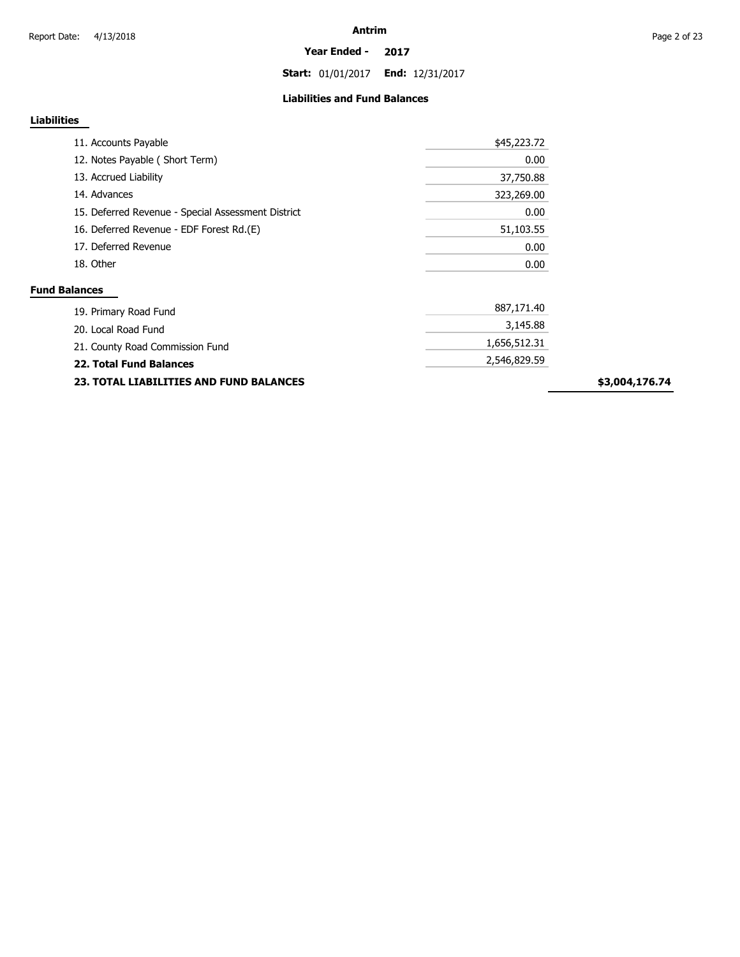**Start:** 01/01/2017 **End:** 12/31/2017

### **Liabilities and Fund Balances**

# **Liabilities**

| 11. Accounts Payable                               | \$45,223.72 |
|----------------------------------------------------|-------------|
| 12. Notes Payable (Short Term)                     | 0.00        |
| 13. Accrued Liability                              | 37,750.88   |
| 14. Advances                                       | 323,269.00  |
| 15. Deferred Revenue - Special Assessment District | 0.00        |
| 16. Deferred Revenue - EDF Forest Rd.(E)           | 51,103.55   |
| 17. Deferred Revenue                               | 0.00        |
| 18. Other                                          | 0.00        |
| <b>Fund Balances</b>                               |             |
| 19. Primary Road Fund                              | 887,171.40  |
| 20. Local Road Fund                                | 3,145.88    |

| ZV. LUCAI INJAY I UNU                                      |              |
|------------------------------------------------------------|--------------|
| 21. County Road Commission Fund<br>22. Total Fund Balances | 1,656,512.31 |
|                                                            | 2,546,829.59 |
| <b>23. TOTAL LIABILITIES AND FUND BALANCES</b>             |              |

**\$3,004,176.74**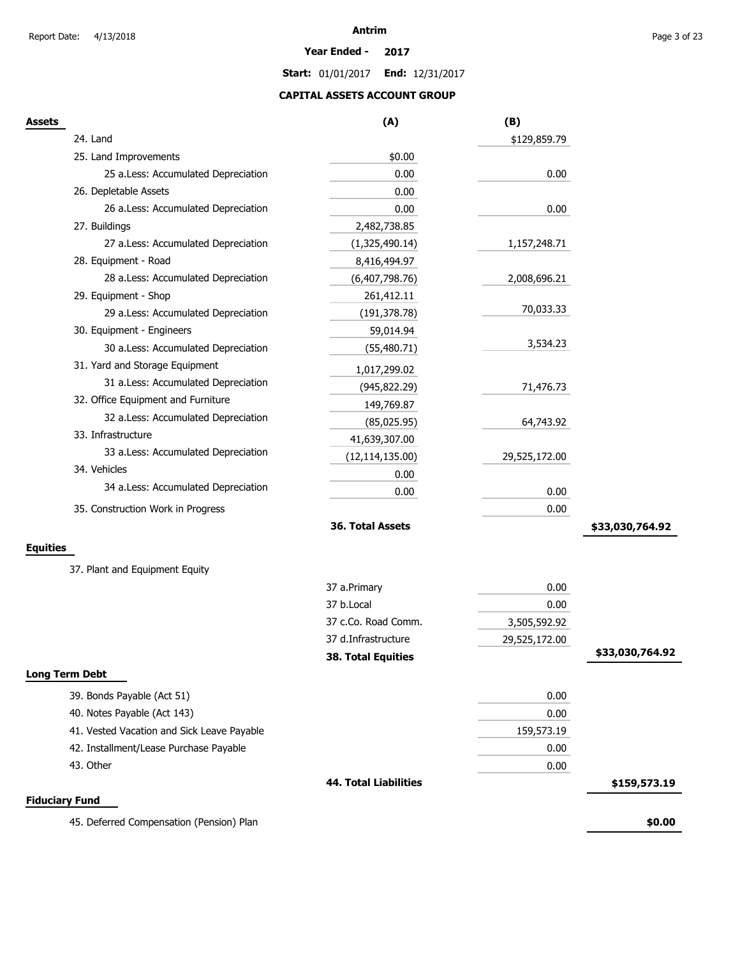#### **Year Ended - 2017**

**Start:** 01/01/2017 **End:** 12/31/2017

# **CAPITAL ASSETS ACCOUNT GROUP**

| <b>Assets</b>                              | (A)                          | (B)           |                 |
|--------------------------------------------|------------------------------|---------------|-----------------|
| 24. Land                                   |                              | \$129,859.79  |                 |
| 25. Land Improvements                      | \$0.00                       |               |                 |
| 25 a.Less: Accumulated Depreciation        | 0.00                         | 0.00          |                 |
| 26. Depletable Assets                      | 0.00                         |               |                 |
| 26 a.Less: Accumulated Depreciation        | 0.00                         | 0.00          |                 |
| 27. Buildings                              | 2,482,738.85                 |               |                 |
| 27 a.Less: Accumulated Depreciation        | (1,325,490.14)               | 1,157,248.71  |                 |
| 28. Equipment - Road                       | 8,416,494.97                 |               |                 |
| 28 a.Less: Accumulated Depreciation        | (6,407,798.76)               | 2,008,696.21  |                 |
| 29. Equipment - Shop                       | 261,412.11                   |               |                 |
| 29 a.Less: Accumulated Depreciation        | (191, 378.78)                | 70,033.33     |                 |
| 30. Equipment - Engineers                  | 59,014.94                    |               |                 |
| 30 a.Less: Accumulated Depreciation        | (55, 480.71)                 | 3,534.23      |                 |
| 31. Yard and Storage Equipment             | 1,017,299.02                 |               |                 |
| 31 a.Less: Accumulated Depreciation        | (945, 822.29)                | 71,476.73     |                 |
| 32. Office Equipment and Furniture         | 149,769.87                   |               |                 |
| 32 a.Less: Accumulated Depreciation        | (85,025.95)                  | 64,743.92     |                 |
| 33. Infrastructure                         | 41,639,307.00                |               |                 |
| 33 a.Less: Accumulated Depreciation        | (12, 114, 135.00)            | 29,525,172.00 |                 |
| 34. Vehicles                               | 0.00                         |               |                 |
| 34 a.Less: Accumulated Depreciation        | 0.00                         | 0.00          |                 |
| 35. Construction Work in Progress          |                              | 0.00          |                 |
|                                            | 36. Total Assets             |               | \$33,030,764.92 |
| <b>Equities</b>                            |                              |               |                 |
| 37. Plant and Equipment Equity             |                              |               |                 |
|                                            | 37 a.Primary                 | 0.00          |                 |
|                                            | 37 b.Local                   | 0.00          |                 |
|                                            | 37 c.Co. Road Comm.          | 3,505,592.92  |                 |
|                                            | 37 d.Infrastructure          | 29,525,172.00 |                 |
|                                            | <b>38. Total Equities</b>    |               | \$33,030,764.92 |
| <b>Long Term Debt</b>                      |                              |               |                 |
| 39. Bonds Payable (Act 51)                 |                              | 0.00          |                 |
| 40. Notes Payable (Act 143)                |                              | 0.00          |                 |
| 41. Vested Vacation and Sick Leave Payable |                              | 159,573.19    |                 |
| 42. Installment/Lease Purchase Payable     |                              | 0.00          |                 |
| 43. Other                                  |                              | 0.00          |                 |
|                                            | <b>44. Total Liabilities</b> |               | \$159,573.19    |
| <b>Fiduciary Fund</b>                      |                              |               |                 |
| 45. Deferred Compensation (Pension) Plan   |                              |               | \$0.00          |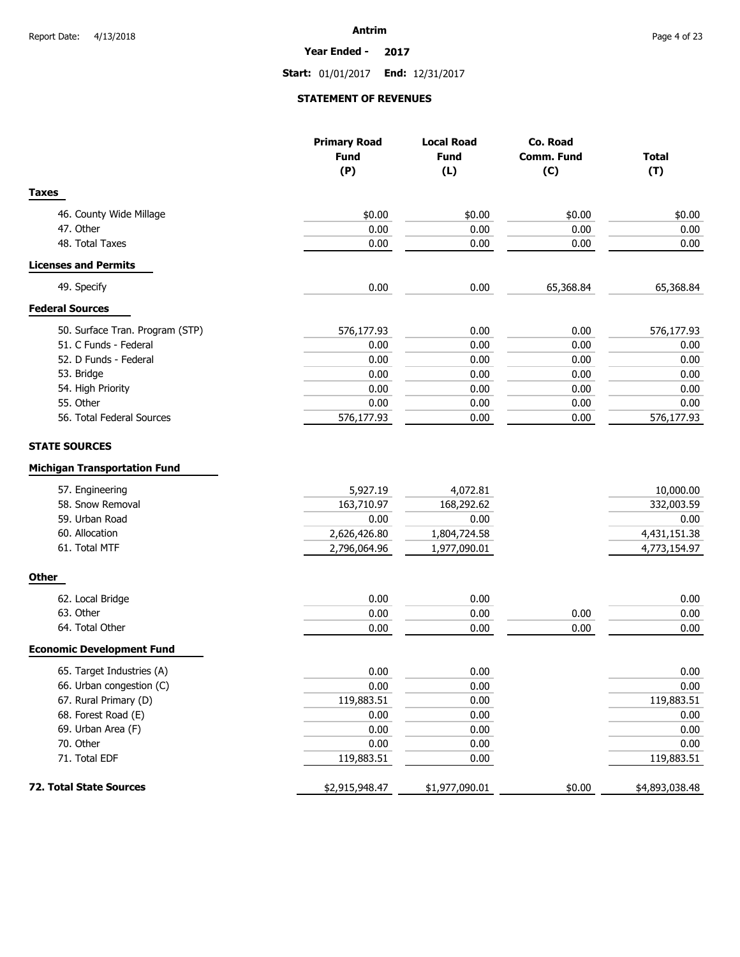#### **Year Ended - 2017**

**Start:** 01/01/2017 **End:** 12/31/2017

# **STATEMENT OF REVENUES**

|                                     | <b>Primary Road</b><br><b>Fund</b> | <b>Local Road</b><br>Co. Road |            |                |
|-------------------------------------|------------------------------------|-------------------------------|------------|----------------|
|                                     |                                    | <b>Fund</b>                   | Comm. Fund | Total          |
|                                     | (P)                                | (L)                           | (C)        | (T)            |
| <b>Taxes</b>                        |                                    |                               |            |                |
| 46. County Wide Millage             | \$0.00                             | \$0.00                        | \$0.00     | \$0.00         |
| 47. Other                           | 0.00                               | 0.00                          | 0.00       | 0.00           |
| 48. Total Taxes                     | 0.00                               | 0.00                          | 0.00       | 0.00           |
| <b>Licenses and Permits</b>         |                                    |                               |            |                |
| 49. Specify                         | 0.00                               | 0.00                          | 65,368.84  | 65,368.84      |
| <b>Federal Sources</b>              |                                    |                               |            |                |
| 50. Surface Tran. Program (STP)     | 576,177.93                         | 0.00                          | 0.00       | 576,177.93     |
| 51. C Funds - Federal               | 0.00                               | 0.00                          | 0.00       | 0.00           |
| 52. D Funds - Federal               | 0.00                               | 0.00                          | 0.00       | 0.00           |
| 53. Bridge                          | 0.00                               | 0.00                          | 0.00       | 0.00           |
| 54. High Priority                   | 0.00                               | 0.00                          | 0.00       | 0.00           |
| 55. Other                           | 0.00                               | 0.00                          | 0.00       | 0.00           |
| 56. Total Federal Sources           | 576,177.93                         | 0.00                          | 0.00       | 576,177.93     |
| <b>STATE SOURCES</b>                |                                    |                               |            |                |
| <b>Michigan Transportation Fund</b> |                                    |                               |            |                |
| 57. Engineering                     | 5,927.19                           | 4,072.81                      |            | 10,000.00      |
| 58. Snow Removal                    | 163,710.97                         | 168,292.62                    |            | 332,003.59     |
| 59. Urban Road                      | 0.00                               | 0.00                          |            | 0.00           |
| 60. Allocation                      | 2,626,426.80                       | 1,804,724.58                  |            | 4,431,151.38   |
| 61. Total MTF                       | 2,796,064.96                       | 1,977,090.01                  |            | 4,773,154.97   |
| <b>Other</b>                        |                                    |                               |            |                |
| 62. Local Bridge                    | 0.00                               | 0.00                          |            | 0.00           |
| 63. Other                           | 0.00                               | 0.00                          | 0.00       | 0.00           |
| 64. Total Other                     | 0.00                               | 0.00                          | 0.00       | 0.00           |
| <b>Economic Development Fund</b>    |                                    |                               |            |                |
| 65. Target Industries (A)           | 0.00                               | 0.00                          |            | 0.00           |
| 66. Urban congestion (C)            | 0.00                               | 0.00                          |            | $0.00\,$       |
| 67. Rural Primary (D)               | 119,883.51                         | 0.00                          |            | 119,883.51     |
| 68. Forest Road (E)                 | 0.00                               | 0.00                          |            | 0.00           |
| 69. Urban Area (F)                  | 0.00                               | 0.00                          |            | 0.00           |
| 70. Other                           | 0.00                               | 0.00                          |            | 0.00           |
| 71. Total EDF                       | 119,883.51                         | 0.00                          |            | 119,883.51     |
| 72. Total State Sources             | \$2,915,948.47                     | \$1,977,090.01                | \$0.00     | \$4,893,038.48 |
|                                     |                                    |                               |            |                |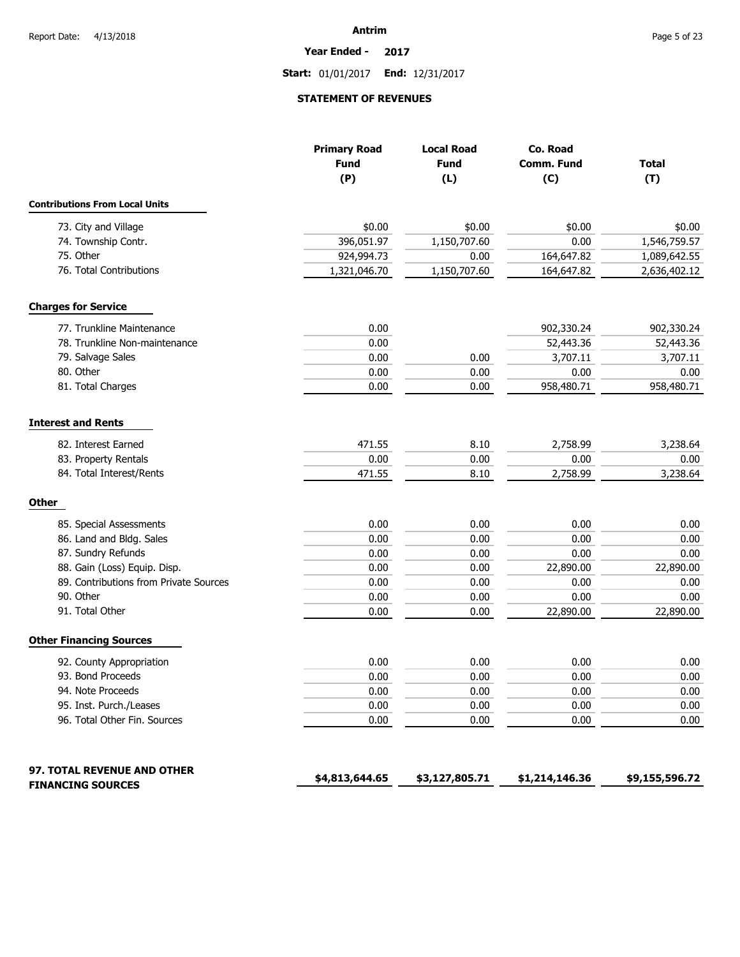**Year Ended - 2017**

**Start:** 01/01/2017 **End:** 12/31/2017

# **STATEMENT OF REVENUES**

|                                        | <b>Primary Road</b> | <b>Local Road</b>  | Co. Road          |                     |
|----------------------------------------|---------------------|--------------------|-------------------|---------------------|
|                                        | <b>Fund</b><br>(P)  | <b>Fund</b><br>(L) | Comm. Fund<br>(C) | <b>Total</b><br>(T) |
|                                        |                     |                    |                   |                     |
| <b>Contributions From Local Units</b>  |                     |                    |                   |                     |
| 73. City and Village                   | \$0.00              | \$0.00             | \$0.00            | \$0.00              |
| 74. Township Contr.                    | 396,051.97          | 1,150,707.60       | 0.00              | 1,546,759.57        |
| 75. Other                              | 924,994.73          | 0.00               | 164,647.82        | 1,089,642.55        |
| 76. Total Contributions                | 1,321,046.70        | 1,150,707.60       | 164,647.82        | 2,636,402.12        |
| <b>Charges for Service</b>             |                     |                    |                   |                     |
| 77. Trunkline Maintenance              | 0.00                |                    | 902,330.24        | 902,330.24          |
| 78. Trunkline Non-maintenance          | 0.00                |                    | 52,443.36         | 52,443.36           |
| 79. Salvage Sales                      | 0.00                | 0.00               | 3,707.11          | 3,707.11            |
| 80. Other                              | 0.00                | 0.00               | 0.00              | 0.00                |
| 81. Total Charges                      | 0.00                | 0.00               | 958,480.71        | 958,480.71          |
| <b>Interest and Rents</b>              |                     |                    |                   |                     |
| 82. Interest Earned                    | 471.55              | 8.10               | 2,758.99          | 3,238.64            |
| 83. Property Rentals                   | 0.00                | 0.00               | 0.00              | 0.00                |
| 84. Total Interest/Rents               | 471.55              | 8.10               | 2,758.99          | 3,238.64            |
| <b>Other</b>                           |                     |                    |                   |                     |
| 85. Special Assessments                | 0.00                | 0.00               | 0.00              | 0.00                |
| 86. Land and Bldg. Sales               | 0.00                | 0.00               | 0.00              | 0.00                |
| 87. Sundry Refunds                     | 0.00                | 0.00               | 0.00              | 0.00                |
| 88. Gain (Loss) Equip. Disp.           | 0.00                | 0.00               | 22,890.00         | 22,890.00           |
| 89. Contributions from Private Sources | 0.00                | 0.00               | 0.00              | 0.00                |
| 90. Other                              | 0.00                | 0.00               | 0.00              | 0.00                |
| 91. Total Other                        | 0.00                | 0.00               | 22,890.00         | 22,890.00           |
| <b>Other Financing Sources</b>         |                     |                    |                   |                     |
| 92. County Appropriation               | 0.00                | 0.00               | 0.00              | 0.00                |
| 93. Bond Proceeds                      | 0.00                | 0.00               | 0.00              | 0.00                |
| 94. Note Proceeds                      | 0.00                | 0.00               | 0.00              | 0.00                |
| 95. Inst. Purch./Leases                | 0.00                | 0.00               | 0.00              | 0.00                |
| 96. Total Other Fin. Sources           | 0.00                | 0.00               | 0.00              | 0.00                |
| <b>97. TOTAL REVENUE AND OTHER</b>     |                     |                    |                   |                     |
| <b>FINANCING SOURCES</b>               | \$4,813,644.65      | \$3,127,805.71     | \$1,214,146.36    | \$9,155,596.72      |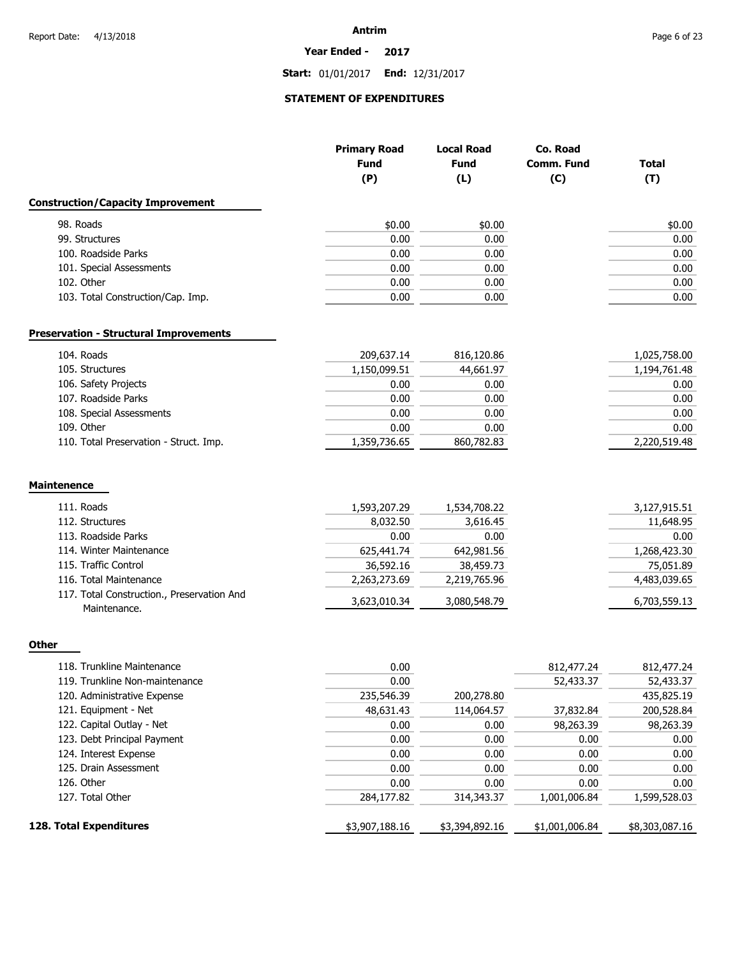#### **Year Ended - 2017**

**Start:** 01/01/2017 **End:** 12/31/2017

# **STATEMENT OF EXPENDITURES**

|                                                            | <b>Primary Road</b><br><b>Fund</b><br>(P) | <b>Local Road</b><br><b>Fund</b><br>(L) | Co. Road<br>Comm. Fund<br>(C) | <b>Total</b><br>(T) |
|------------------------------------------------------------|-------------------------------------------|-----------------------------------------|-------------------------------|---------------------|
| <b>Construction/Capacity Improvement</b>                   |                                           |                                         |                               |                     |
| 98. Roads                                                  | \$0.00                                    | \$0.00                                  |                               | \$0.00              |
| 99. Structures                                             | 0.00                                      | 0.00                                    |                               | 0.00                |
| 100. Roadside Parks                                        | 0.00                                      | 0.00                                    |                               | 0.00                |
| 101. Special Assessments                                   | 0.00                                      | 0.00                                    |                               | 0.00                |
| 102. Other                                                 | 0.00                                      | 0.00                                    |                               | 0.00                |
| 103. Total Construction/Cap. Imp.                          | 0.00                                      | 0.00                                    |                               | 0.00                |
| <b>Preservation - Structural Improvements</b>              |                                           |                                         |                               |                     |
| 104. Roads                                                 | 209,637.14                                | 816,120.86                              |                               | 1,025,758.00        |
| 105. Structures                                            | 1,150,099.51                              | 44,661.97                               |                               | 1,194,761.48        |
| 106. Safety Projects                                       | 0.00                                      | 0.00                                    |                               | 0.00                |
| 107. Roadside Parks                                        | 0.00                                      | 0.00                                    |                               | 0.00                |
| 108. Special Assessments                                   | 0.00                                      | 0.00                                    |                               | 0.00                |
| 109. Other                                                 | 0.00                                      | 0.00                                    |                               | 0.00                |
| 110. Total Preservation - Struct. Imp.                     | 1,359,736.65                              | 860,782.83                              |                               | 2,220,519.48        |
| <b>Maintenence</b>                                         |                                           |                                         |                               |                     |
| 111. Roads                                                 | 1,593,207.29                              | 1,534,708.22                            |                               | 3,127,915.51        |
| 112. Structures                                            | 8,032.50                                  | 3,616.45                                |                               | 11,648.95           |
| 113. Roadside Parks                                        | 0.00                                      | 0.00                                    |                               | 0.00                |
| 114. Winter Maintenance                                    | 625,441.74                                | 642,981.56                              |                               | 1,268,423.30        |
| 115. Traffic Control                                       | 36,592.16                                 | 38,459.73                               |                               | 75,051.89           |
| 116. Total Maintenance                                     | 2,263,273.69                              | 2,219,765.96                            |                               | 4,483,039.65        |
| 117. Total Construction., Preservation And<br>Maintenance. | 3,623,010.34                              | 3,080,548.79                            |                               | 6,703,559.13        |
| <b>Other</b>                                               |                                           |                                         |                               |                     |
| 118. Trunkline Maintenance                                 | 0.00                                      |                                         | 812,477.24                    | 812,477.24          |

| <b>ITO.</b> THUIKIIKE MAINENANCE | v.vv           |                | 012, 177. 27   | 012, 177. 27   |
|----------------------------------|----------------|----------------|----------------|----------------|
| 119. Trunkline Non-maintenance   | 0.00           |                | 52,433.37      | 52,433.37      |
| 120. Administrative Expense      | 235,546.39     | 200,278.80     |                | 435,825.19     |
| 121. Equipment - Net             | 48,631.43      | 114,064.57     | 37,832.84      | 200,528.84     |
| 122. Capital Outlay - Net        | 0.00           | 0.00           | 98,263.39      | 98,263.39      |
| 123. Debt Principal Payment      | 0.00           | 0.00           | 0.00           | 0.00           |
| 124. Interest Expense            | 0.00           | 0.00           | 0.00           | 0.00           |
| 125. Drain Assessment            | 0.00           | 0.00           | 0.00           | 0.00           |
| 126. Other                       | 0.00           | 0.00           | 0.00           | 0.00           |
| 127. Total Other                 | 284,177.82     | 314,343.37     | 1,001,006.84   | 1,599,528.03   |
| 128. Total Expenditures          | \$3,907,188.16 | \$3,394,892.16 | \$1,001,006.84 | \$8,303,087.16 |
|                                  |                |                |                |                |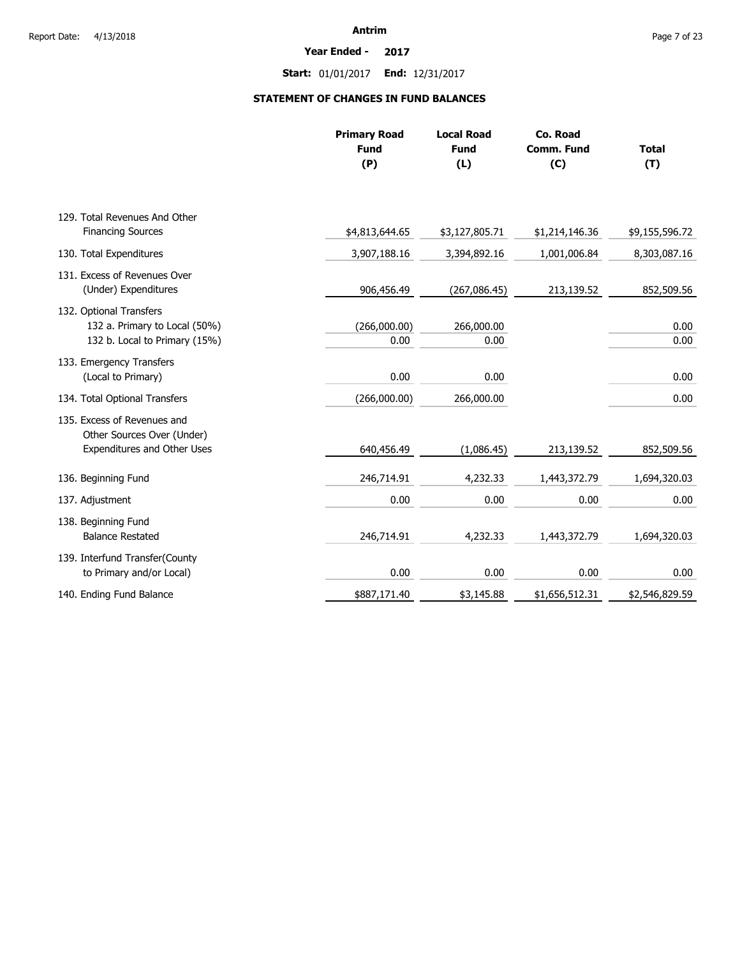#### **Year Ended - 2017**

**Start:** 01/01/2017 **End:** 12/31/2017

# **STATEMENT OF CHANGES IN FUND BALANCES**

|                                                                                           | <b>Primary Road</b><br><b>Fund</b><br>(P) | <b>Local Road</b><br><b>Fund</b><br>(L) | Co. Road<br>Comm. Fund<br>(C) | <b>Total</b><br>(T) |
|-------------------------------------------------------------------------------------------|-------------------------------------------|-----------------------------------------|-------------------------------|---------------------|
| 129. Total Revenues And Other                                                             |                                           |                                         |                               |                     |
| <b>Financing Sources</b>                                                                  | \$4,813,644.65                            | \$3,127,805.71                          | \$1,214,146.36                | \$9,155,596.72      |
| 130. Total Expenditures                                                                   | 3,907,188.16                              | 3,394,892.16                            | 1,001,006.84                  | 8,303,087.16        |
| 131. Excess of Revenues Over<br>(Under) Expenditures                                      | 906,456.49                                | (267,086.45)                            | 213,139.52                    | 852,509.56          |
| 132. Optional Transfers<br>132 a. Primary to Local (50%)<br>132 b. Local to Primary (15%) | (266,000.00)<br>0.00                      | 266,000.00<br>0.00                      |                               | 0.00<br>0.00        |
| 133. Emergency Transfers<br>(Local to Primary)                                            | 0.00                                      | 0.00                                    |                               | 0.00                |
| 134. Total Optional Transfers                                                             | (266,000.00)                              | 266,000.00                              |                               | 0.00                |
| 135. Excess of Revenues and<br>Other Sources Over (Under)<br>Expenditures and Other Uses  | 640,456.49                                | (1,086.45)                              | 213,139.52                    | 852,509.56          |
| 136. Beginning Fund                                                                       | 246,714.91                                | 4,232.33                                | 1,443,372.79                  | 1,694,320.03        |
| 137. Adjustment                                                                           | 0.00                                      | 0.00                                    | 0.00                          | 0.00                |
| 138. Beginning Fund<br><b>Balance Restated</b>                                            | 246,714.91                                | 4,232.33                                | 1,443,372.79                  | 1,694,320.03        |
| 139. Interfund Transfer(County<br>to Primary and/or Local)                                | 0.00                                      | 0.00                                    | 0.00                          | 0.00                |
| 140. Ending Fund Balance                                                                  | \$887,171.40                              | \$3,145.88                              | \$1,656,512.31                | \$2,546,829.59      |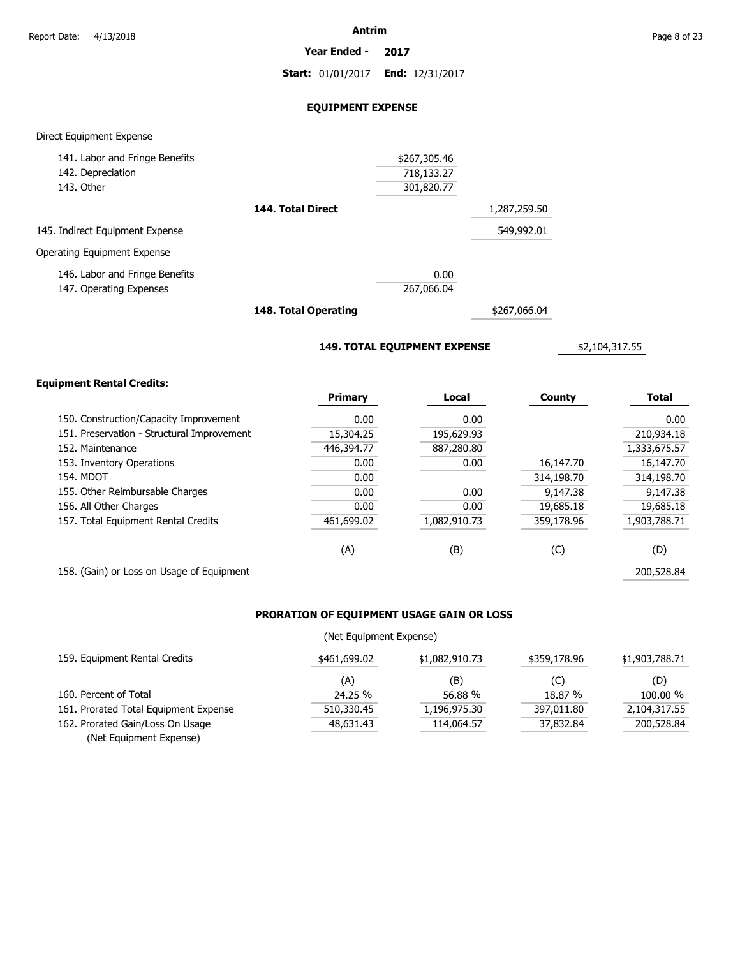**Year Ended - 2017**

**Start:** 01/01/2017 **End:** 12/31/2017

# **EQUIPMENT EXPENSE**

### Direct Equipment Expense

| 141. Labor and Fringe Benefits  |                   | \$267,305.46 |              |
|---------------------------------|-------------------|--------------|--------------|
| 142. Depreciation               |                   | 718,133.27   |              |
| 143. Other                      |                   | 301,820.77   |              |
|                                 | 144. Total Direct |              | 1,287,259.50 |
| 145. Indirect Equipment Expense |                   |              | 549,992.01   |
| Operating Equipment Expense     |                   |              |              |
| 146. Labor and Fringe Benefits  |                   | 0.00         |              |
| 147. Operating Expenses         |                   | 267,066.04   |              |
|                                 |                   |              |              |

**148. Total Operating**

\$267,066.04

**149. TOTAL EQUIPMENT EXPENSE**

\$2,104,317.55

# **Equipment Rental Credits:**

|                                            | <b>Primary</b> | Local        | County     | <b>Total</b> |
|--------------------------------------------|----------------|--------------|------------|--------------|
| 150. Construction/Capacity Improvement     | 0.00           | 0.00         |            | 0.00         |
| 151. Preservation - Structural Improvement | 15,304.25      | 195,629.93   |            | 210,934.18   |
| 152. Maintenance                           | 446,394.77     | 887,280,80   |            | 1,333,675.57 |
| 153. Inventory Operations                  | 0.00           | 0.00         | 16,147.70  | 16,147.70    |
| <b>154. MDOT</b>                           | 0.00           |              | 314,198.70 | 314,198.70   |
| 155. Other Reimbursable Charges            | 0.00           | 0.00         | 9,147.38   | 9,147.38     |
| 156. All Other Charges                     | 0.00           | 0.00         | 19,685.18  | 19,685.18    |
| 157. Total Equipment Rental Credits        | 461,699.02     | 1,082,910.73 | 359,178.96 | 1,903,788.71 |
|                                            | (A)            | (B)          | (C)        | (D)          |
| 158. (Gain) or Loss on Usage of Equipment  |                |              |            | 200,528.84   |

# **PRORATION OF EQUIPMENT USAGE GAIN OR LOSS**

# (Net Equipment Expense)

| 159. Equipment Rental Credits         | \$461,699.02 | \$1,082,910.73 | \$359,178.96 | \$1,903,788.71 |
|---------------------------------------|--------------|----------------|--------------|----------------|
|                                       | (A)          | (B)            | (C)          | (D)            |
| 160. Percent of Total                 | 24.25 %      | 56.88 %        | 18.87 %      | 100.00 %       |
| 161. Prorated Total Equipment Expense | 510,330.45   | 1,196,975.30   | 397,011.80   | 2,104,317.55   |
| 162. Prorated Gain/Loss On Usage      | 48,631.43    | 114,064.57     | 37,832.84    | 200,528.84     |
| (Net Equipment Expense)               |              |                |              |                |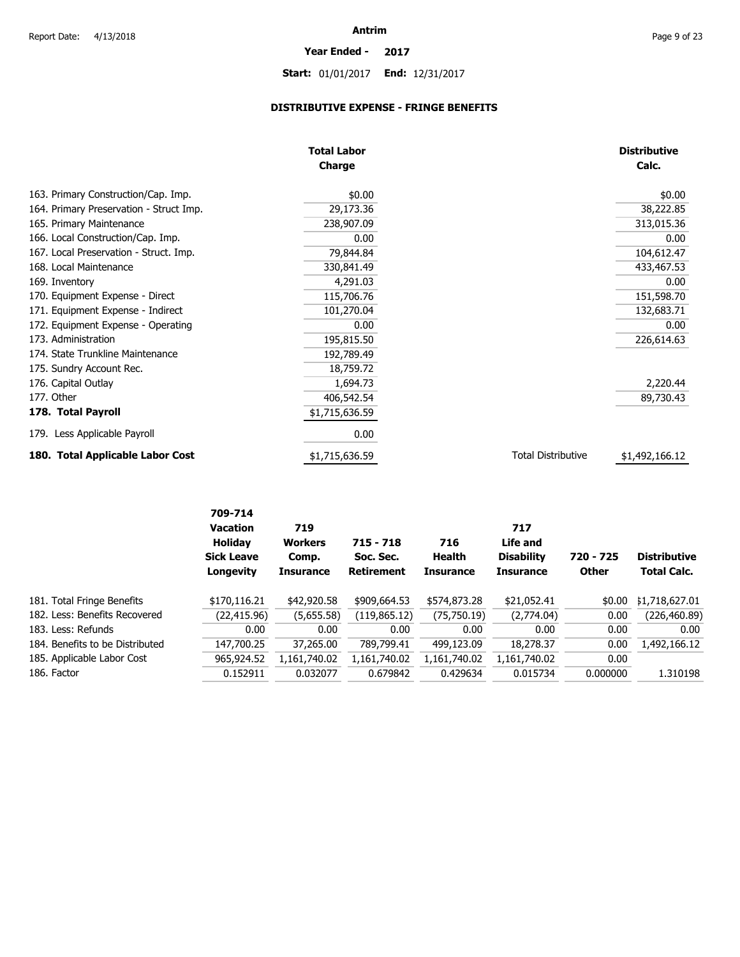# **Year Ended - 2017**

**Start:** 01/01/2017 **End:** 12/31/2017

# **DISTRIBUTIVE EXPENSE - FRINGE BENEFITS**

|                                         | <b>Total Labor</b> |                           | <b>Distributive</b> |
|-----------------------------------------|--------------------|---------------------------|---------------------|
|                                         | <b>Charge</b>      |                           | Calc.               |
| 163. Primary Construction/Cap. Imp.     | \$0.00             |                           | \$0.00              |
| 164. Primary Preservation - Struct Imp. | 29,173.36          |                           | 38,222.85           |
| 165. Primary Maintenance                | 238,907.09         |                           | 313,015.36          |
| 166. Local Construction/Cap. Imp.       | 0.00               |                           | 0.00                |
| 167. Local Preservation - Struct. Imp.  | 79,844.84          |                           | 104,612.47          |
| 168. Local Maintenance                  | 330,841.49         |                           | 433,467.53          |
| 169. Inventory                          | 4,291.03           |                           | 0.00                |
| 170. Equipment Expense - Direct         | 115,706.76         |                           | 151,598.70          |
| 171. Equipment Expense - Indirect       | 101,270.04         |                           | 132,683.71          |
| 172. Equipment Expense - Operating      | 0.00               |                           | 0.00                |
| 173. Administration                     | 195,815.50         |                           | 226,614.63          |
| 174. State Trunkline Maintenance        | 192,789.49         |                           |                     |
| 175. Sundry Account Rec.                | 18,759.72          |                           |                     |
| 176. Capital Outlay                     | 1,694.73           |                           | 2,220.44            |
| 177. Other                              | 406,542.54         |                           | 89,730.43           |
| 178. Total Payroll                      | \$1,715,636.59     |                           |                     |
| 179. Less Applicable Payroll            | 0.00               |                           |                     |
| 180. Total Applicable Labor Cost        | \$1,715,636.59     | <b>Total Distributive</b> | \$1,492,166.12      |

|                                 | 709-714<br><b>Vacation</b><br><b>Holiday</b><br><b>Sick Leave</b><br>Longevity | 719<br><b>Workers</b><br>Comp.<br><b>Insurance</b> | $715 - 718$<br>Soc. Sec.<br><b>Retirement</b> | 716<br>Health<br><b>Insurance</b> | 717<br>Life and<br><b>Disability</b><br><b>Insurance</b> | 720 - 725<br><b>Other</b> | <b>Distributive</b><br><b>Total Calc.</b> |
|---------------------------------|--------------------------------------------------------------------------------|----------------------------------------------------|-----------------------------------------------|-----------------------------------|----------------------------------------------------------|---------------------------|-------------------------------------------|
| 181. Total Fringe Benefits      | \$170,116.21                                                                   | \$42,920.58                                        | \$909,664.53                                  | \$574,873.28                      | \$21,052.41                                              | \$0.00                    | \$1,718,627.01                            |
| 182. Less: Benefits Recovered   | (22, 415.96)                                                                   | (5,655.58)                                         | (119, 865.12)                                 | (75, 750.19)                      | (2,774.04)                                               | 0.00                      | (226,460.89)                              |
| 183. Less: Refunds              | 0.00                                                                           | 0.00                                               | 0.00                                          | 0.00                              | 0.00                                                     | 0.00                      | 0.00                                      |
| 184. Benefits to be Distributed | 147,700.25                                                                     | 37,265.00                                          | 789,799.41                                    | 499,123.09                        | 18,278.37                                                | 0.00                      | 1,492,166.12                              |
| 185. Applicable Labor Cost      | 965,924.52                                                                     | 1,161,740.02                                       | 1,161,740.02                                  | 1,161,740.02                      | 1,161,740.02                                             | 0.00                      |                                           |
| 186. Factor                     | 0.152911                                                                       | 0.032077                                           | 0.679842                                      | 0.429634                          | 0.015734                                                 | 0.000000                  | 1.310198                                  |
|                                 |                                                                                |                                                    |                                               |                                   |                                                          |                           |                                           |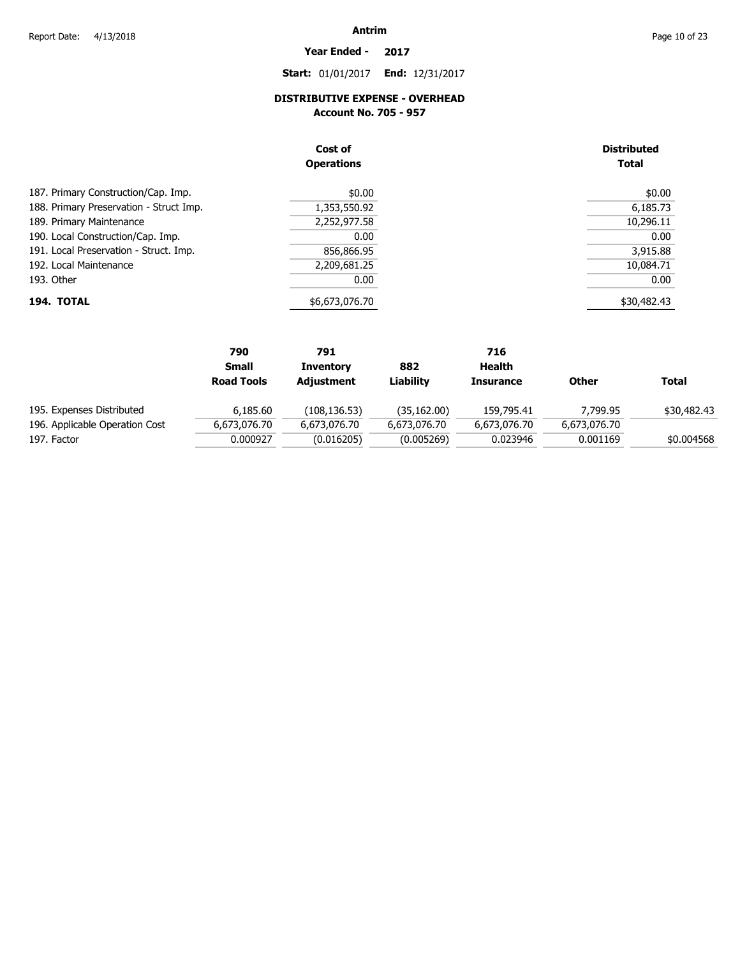**Year Ended - 2017**

**Start:** 01/01/2017 **End:** 12/31/2017

# **DISTRIBUTIVE EXPENSE - OVERHEAD**

**Account No. 705 - 957** 

|                                         | Cost of<br><b>Operations</b> | <b>Distributed</b><br><b>Total</b> |
|-----------------------------------------|------------------------------|------------------------------------|
| 187. Primary Construction/Cap. Imp.     | \$0.00                       | \$0.00                             |
| 188. Primary Preservation - Struct Imp. | 1,353,550.92                 | 6,185.73                           |
| 189. Primary Maintenance                | 2,252,977.58                 | 10,296.11                          |
| 190. Local Construction/Cap. Imp.       | 0.00                         | 0.00                               |
| 191. Local Preservation - Struct. Imp.  | 856,866.95                   | 3,915.88                           |
| 192. Local Maintenance                  | 2,209,681.25                 | 10,084.71                          |
| 193. Other                              | 0.00                         | 0.00                               |
| 194. TOTAL                              | \$6,673,076.70               | \$30,482.43                        |

| 790               | 791              |              | 716              |              |             |
|-------------------|------------------|--------------|------------------|--------------|-------------|
| <b>Small</b>      | <b>Inventory</b> | 882          | Health           |              |             |
| <b>Road Tools</b> | Adjustment       | Liability    | <b>Insurance</b> | <b>Other</b> | Total       |
| 6,185.60          | (108, 136.53)    | (35, 162.00) | 159,795.41       | 7.799.95     | \$30,482.43 |
| 6,673,076.70      | 6,673,076.70     | 6,673,076.70 | 6,673,076,70     | 6,673,076.70 |             |
| 0.000927          | (0.016205)       | (0.005269)   | 0.023946         | 0.001169     | \$0.004568  |
|                   |                  |              |                  |              |             |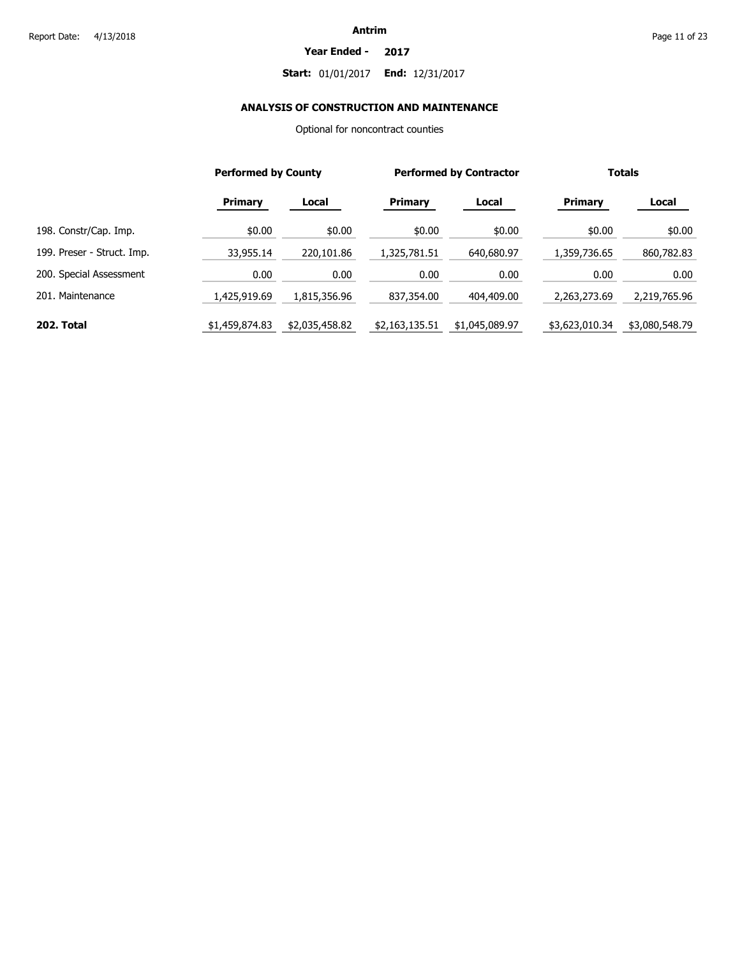#### **Year Ended - 2017**

# **Start:** 01/01/2017 **End:** 12/31/2017

# **ANALYSIS OF CONSTRUCTION AND MAINTENANCE**

Optional for noncontract counties

|                            |                | <b>Performed by County</b> |                | <b>Performed by Contractor</b> |                | <b>Totals</b>  |  |
|----------------------------|----------------|----------------------------|----------------|--------------------------------|----------------|----------------|--|
|                            | <b>Primary</b> | Local                      | Primary        | Local                          | Primary        | Local          |  |
| 198. Constr/Cap. Imp.      | \$0.00         | \$0.00                     | \$0.00         | \$0.00                         | \$0.00         | \$0.00         |  |
| 199. Preser - Struct. Imp. | 33,955.14      | 220,101.86                 | 1,325,781.51   | 640,680.97                     | 1,359,736.65   | 860,782.83     |  |
| 200. Special Assessment    | 0.00           | 0.00                       | 0.00           | 0.00                           | 0.00           | 0.00           |  |
| 201. Maintenance           | 1,425,919,69   | 1,815,356.96               | 837,354.00     | 404,409.00                     | 2,263,273.69   | 2,219,765.96   |  |
| 202. Total                 | \$1,459,874.83 | \$2,035,458.82             | \$2,163,135.51 | \$1,045,089.97                 | \$3,623,010.34 | \$3,080,548.79 |  |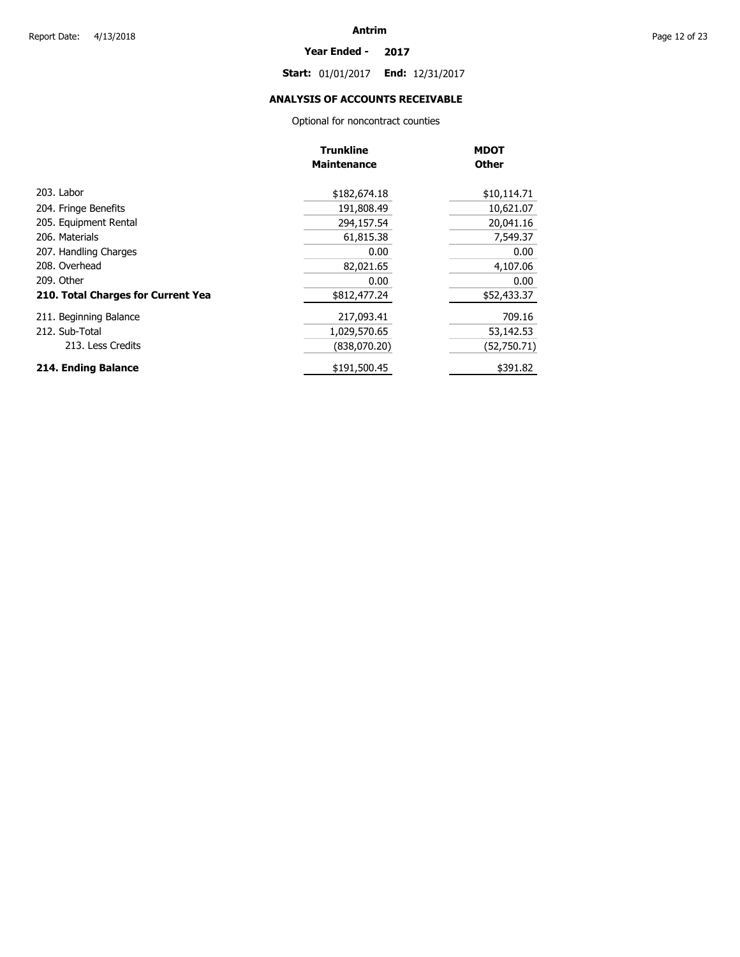#### **Year Ended - 2017**

**Start:** 01/01/2017 **End:** 12/31/2017

# **ANALYSIS OF ACCOUNTS RECEIVABLE**

Optional for noncontract counties

|                                    | <b>Trunkline</b>   | <b>MDOT</b>  |
|------------------------------------|--------------------|--------------|
|                                    | <b>Maintenance</b> | <b>Other</b> |
| 203. Labor                         | \$182,674.18       | \$10,114.71  |
| 204. Fringe Benefits               | 191,808.49         | 10,621.07    |
| 205. Equipment Rental              | 294,157.54         | 20,041.16    |
| 206. Materials                     | 61,815.38          | 7,549.37     |
| 207. Handling Charges              | 0.00               | 0.00         |
| 208. Overhead                      | 82,021.65          | 4,107.06     |
| 209. Other                         | 0.00               | 0.00         |
| 210. Total Charges for Current Yea | \$812,477.24       | \$52,433.37  |
| 211. Beginning Balance             | 217,093.41         | 709.16       |
| 212. Sub-Total                     | 1,029,570.65       | 53,142.53    |
| 213. Less Credits                  | (838,070.20)       | (52,750.71)  |
| 214. Ending Balance                | \$191,500.45       | \$391.82     |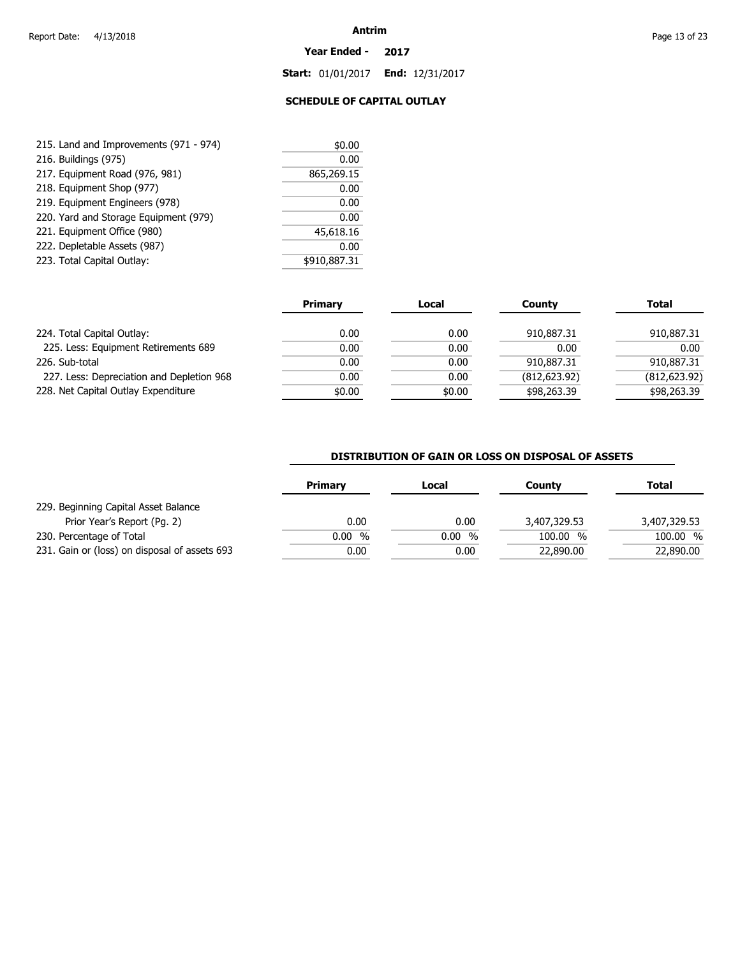#### **Year Ended - 2017**

**Start:** 01/01/2017 **End:** 12/31/2017

# **SCHEDULE OF CAPITAL OUTLAY**

| 215. Land and Improvements (971 - 974) | \$0.00       |
|----------------------------------------|--------------|
| 216. Buildings (975)                   | 0.00         |
| 217. Equipment Road (976, 981)         | 865,269.15   |
| 218. Equipment Shop (977)              | 0.00         |
| 219. Equipment Engineers (978)         | 0.00         |
| 220. Yard and Storage Equipment (979)  | 0.00         |
| 221. Equipment Office (980)            | 45,618.16    |
| 222. Depletable Assets (987)           | 0.00         |
| 223. Total Capital Outlay:             | \$910,887.31 |

|                                           | <b>Primary</b> | Local  | County        | <b>Total</b>  |
|-------------------------------------------|----------------|--------|---------------|---------------|
| 224. Total Capital Outlay:                | 0.00           | 0.00   | 910,887.31    | 910,887.31    |
| 225. Less: Equipment Retirements 689      | 0.00           | 0.00   | 0.00          | 0.00          |
| 226. Sub-total                            | 0.00           | 0.00   | 910.887.31    | 910,887.31    |
| 227. Less: Depreciation and Depletion 968 | 0.00           | 0.00   | (812, 623.92) | (812, 623.92) |
| 228. Net Capital Outlay Expenditure       | \$0.00         | \$0.00 | \$98,263.39   | \$98,263.39   |

# **DISTRIBUTION OF GAIN OR LOSS ON DISPOSAL OF ASSETS**

| Primary  | Local  | County       | Total        |
|----------|--------|--------------|--------------|
|          |        |              |              |
| 0.00     | 0.00   | 3,407,329.53 | 3,407,329.53 |
| $0.00\%$ | 0.00 % | 100.00<br>%  | 100.00 %     |
| 0.00     | 0.00   | 22,890.00    | 22,890.00    |
|          |        |              |              |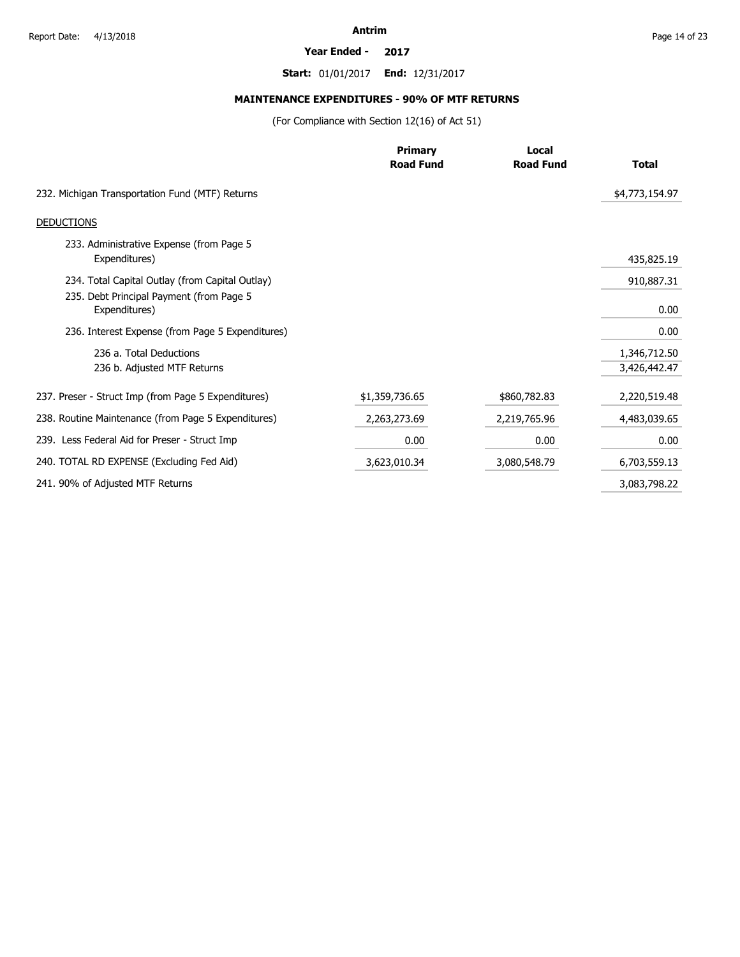#### **Year Ended - 2017**

**Start:** 01/01/2017 **End:** 12/31/2017

# **MAINTENANCE EXPENDITURES - 90% OF MTF RETURNS**

(For Compliance with Section 12(16) of Act 51)

|                                                           | <b>Primary</b>   | Local            |                |  |
|-----------------------------------------------------------|------------------|------------------|----------------|--|
|                                                           | <b>Road Fund</b> | <b>Road Fund</b> | <b>Total</b>   |  |
| 232. Michigan Transportation Fund (MTF) Returns           |                  |                  | \$4,773,154.97 |  |
| <b>DEDUCTIONS</b>                                         |                  |                  |                |  |
| 233. Administrative Expense (from Page 5<br>Expenditures) |                  |                  | 435,825.19     |  |
| 234. Total Capital Outlay (from Capital Outlay)           |                  |                  | 910,887.31     |  |
| 235. Debt Principal Payment (from Page 5<br>Expenditures) |                  |                  | 0.00           |  |
| 236. Interest Expense (from Page 5 Expenditures)          |                  |                  | 0.00           |  |
| 236 a. Total Deductions                                   |                  |                  | 1,346,712.50   |  |
| 236 b. Adjusted MTF Returns                               |                  |                  | 3,426,442.47   |  |
| 237. Preser - Struct Imp (from Page 5 Expenditures)       | \$1,359,736.65   | \$860,782.83     | 2,220,519.48   |  |
| 238. Routine Maintenance (from Page 5 Expenditures)       | 2,263,273.69     | 2,219,765.96     | 4,483,039.65   |  |
| 239. Less Federal Aid for Preser - Struct Imp             | 0.00             | 0.00             | 0.00           |  |
| 240. TOTAL RD EXPENSE (Excluding Fed Aid)                 | 3,623,010.34     | 3,080,548.79     | 6,703,559.13   |  |
| 241. 90% of Adjusted MTF Returns                          |                  |                  | 3,083,798.22   |  |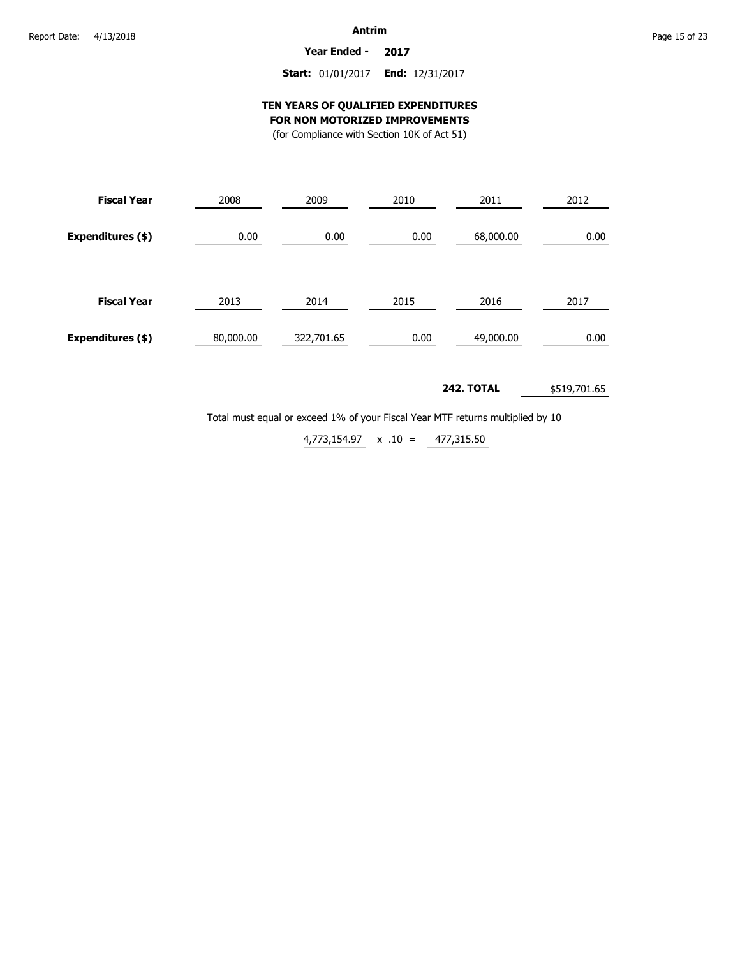**Year Ended - 2017**

# **Start:** 01/01/2017 **End:** 12/31/2017

# **TEN YEARS OF QUALIFIED EXPENDITURES FOR NON MOTORIZED IMPROVEMENTS**

(for Compliance with Section 10K of Act 51)

| <b>Fiscal Year</b> | 2008      | 2009       | 2010 | 2011      | 2012 |
|--------------------|-----------|------------|------|-----------|------|
| Expenditures (\$)  | 0.00      | 0.00       | 0.00 | 68,000.00 | 0.00 |
| <b>Fiscal Year</b> | 2013      | 2014       | 2015 | 2016      | 2017 |
| Expenditures (\$)  | 80,000.00 | 322,701.65 | 0.00 | 49,000.00 | 0.00 |

#### **242. TOTAL** \$519,701.65

Total must equal or exceed 1% of your Fiscal Year MTF returns multiplied by 10

 $4,773,154.97 \times .10 = 477,315.50$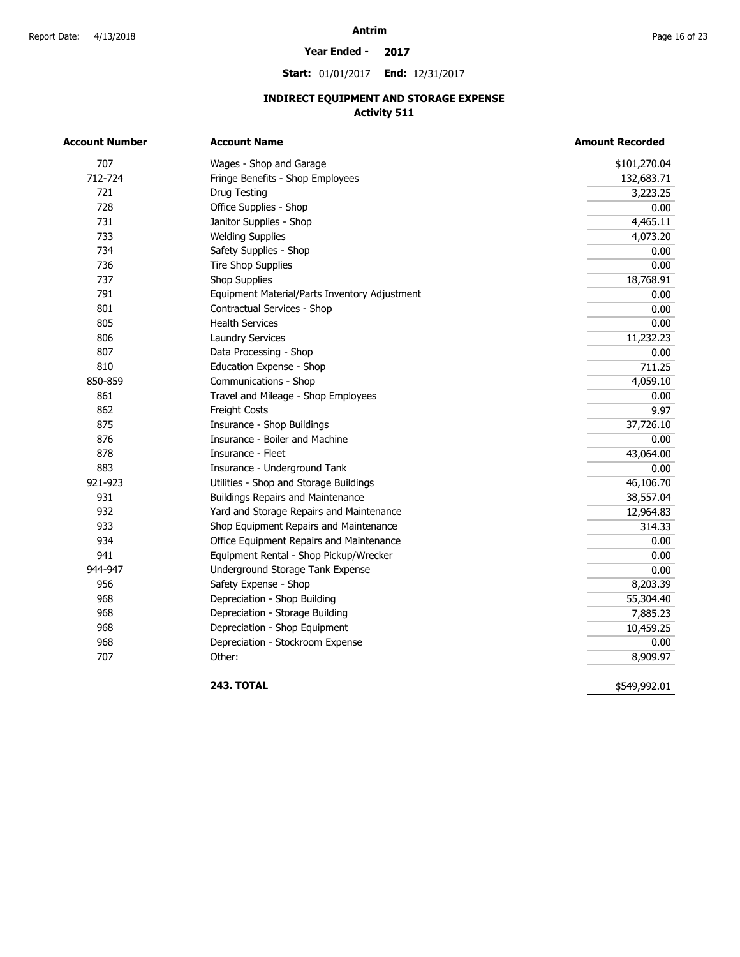#### **Year Ended - 2017**

**Start:** 01/01/2017 **End:** 12/31/2017

# **INDIRECT EQUIPMENT AND STORAGE EXPENSE Activity 511**

| <b>Account Number</b> | <b>Account Name</b>                           | <b>Amount Recorded</b> |
|-----------------------|-----------------------------------------------|------------------------|
| 707                   | Wages - Shop and Garage                       | \$101,270.04           |
| 712-724               | Fringe Benefits - Shop Employees              | 132,683.71             |
| 721                   | Drug Testing                                  | 3,223.25               |
| 728                   | Office Supplies - Shop                        | 0.00                   |
| 731                   | Janitor Supplies - Shop                       | 4,465.11               |
| 733                   | <b>Welding Supplies</b>                       | 4,073.20               |
| 734                   | Safety Supplies - Shop                        | 0.00                   |
| 736                   | <b>Tire Shop Supplies</b>                     | 0.00                   |
| 737                   | <b>Shop Supplies</b>                          | 18,768.91              |
| 791                   | Equipment Material/Parts Inventory Adjustment | 0.00                   |
| 801                   | Contractual Services - Shop                   | 0.00                   |
| 805                   | <b>Health Services</b>                        | 0.00                   |
| 806                   | <b>Laundry Services</b>                       | 11,232.23              |
| 807                   | Data Processing - Shop                        | 0.00                   |
| 810                   | Education Expense - Shop                      | 711.25                 |
| 850-859               | Communications - Shop                         | 4,059.10               |
| 861                   | Travel and Mileage - Shop Employees           | 0.00                   |
| 862                   | <b>Freight Costs</b>                          | 9.97                   |
| 875                   | Insurance - Shop Buildings                    | 37,726.10              |
| 876                   | Insurance - Boiler and Machine                | 0.00                   |
| 878                   | Insurance - Fleet                             | 43,064.00              |
| 883                   | Insurance - Underground Tank                  | 0.00                   |
| 921-923               | Utilities - Shop and Storage Buildings        | 46,106.70              |
| 931                   | <b>Buildings Repairs and Maintenance</b>      | 38,557.04              |
| 932                   | Yard and Storage Repairs and Maintenance      | 12,964.83              |
| 933                   | Shop Equipment Repairs and Maintenance        | 314.33                 |
| 934                   | Office Equipment Repairs and Maintenance      | 0.00                   |
| 941                   | Equipment Rental - Shop Pickup/Wrecker        | 0.00                   |
| 944-947               | Underground Storage Tank Expense              | 0.00                   |
| 956                   | Safety Expense - Shop                         | 8,203.39               |
| 968                   | Depreciation - Shop Building                  | 55,304.40              |
| 968                   | Depreciation - Storage Building               | 7,885.23               |
| 968                   | Depreciation - Shop Equipment                 | 10,459.25              |
| 968                   | Depreciation - Stockroom Expense              | 0.00                   |
| 707                   | Other:                                        | 8,909.97               |

**243. TOTAL** 

\$549,992.01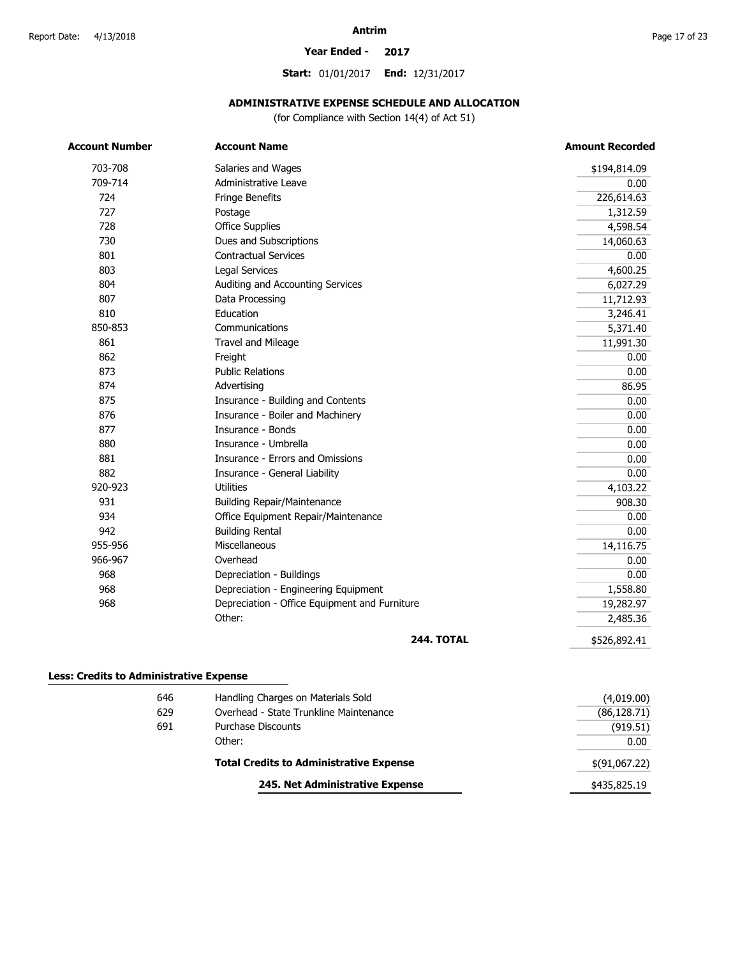#### **Year Ended - 2017**

**Start:** 01/01/2017 **End:** 12/31/2017

### **ADMINISTRATIVE EXPENSE SCHEDULE AND ALLOCATION**

(for Compliance with Section 14(4) of Act 51)

| <b>Account Number</b> | <b>Account Name</b>                           | <b>Amount Recorded</b> |
|-----------------------|-----------------------------------------------|------------------------|
| 703-708               | Salaries and Wages                            | \$194,814.09           |
| 709-714               | Administrative Leave                          | 0.00                   |
| 724                   | Fringe Benefits                               | 226,614.63             |
| 727                   | Postage                                       | 1,312.59               |
| 728                   | <b>Office Supplies</b>                        | 4,598.54               |
| 730                   | Dues and Subscriptions                        | 14,060.63              |
| 801                   | <b>Contractual Services</b>                   | 0.00                   |
| 803                   | Legal Services                                | 4,600.25               |
| 804                   | Auditing and Accounting Services              | 6,027.29               |
| 807                   | Data Processing                               | 11,712.93              |
| 810                   | Education                                     | 3,246.41               |
| 850-853               | Communications                                | 5,371.40               |
| 861                   | Travel and Mileage                            | 11,991.30              |
| 862                   | Freight                                       | 0.00                   |
| 873                   | <b>Public Relations</b>                       | 0.00                   |
| 874                   | Advertising                                   | 86.95                  |
| 875                   | Insurance - Building and Contents             | 0.00                   |
| 876                   | Insurance - Boiler and Machinery              | 0.00                   |
| 877                   | Insurance - Bonds                             | 0.00                   |
| 880                   | Insurance - Umbrella                          | 0.00                   |
| 881                   | Insurance - Errors and Omissions              | 0.00                   |
| 882                   | Insurance - General Liability                 | 0.00                   |
| 920-923               | <b>Utilities</b>                              | 4,103.22               |
| 931                   | <b>Building Repair/Maintenance</b>            | 908.30                 |
| 934                   | Office Equipment Repair/Maintenance           | 0.00                   |
| 942                   | <b>Building Rental</b>                        | 0.00                   |
| 955-956               | Miscellaneous                                 | 14,116.75              |
| 966-967               | Overhead                                      | 0.00                   |
| 968                   | Depreciation - Buildings                      | 0.00                   |
| 968                   | Depreciation - Engineering Equipment          | 1,558.80               |
| 968                   | Depreciation - Office Equipment and Furniture | 19,282.97              |
|                       | Other:                                        | 2,485.36               |
|                       | <b>244. TOTAL</b>                             | \$526,892.41           |

#### 646 629 691 Handling Charges on Materials Sold Overhead - State Trunkline Maintenance Purchase Discounts Other: **Total Credits to Administrative Expense 245. Net Administrative Expense** (4,019.00) 0.00 (919.51) \$(91,067.22) (86,128.71) \$435,825.19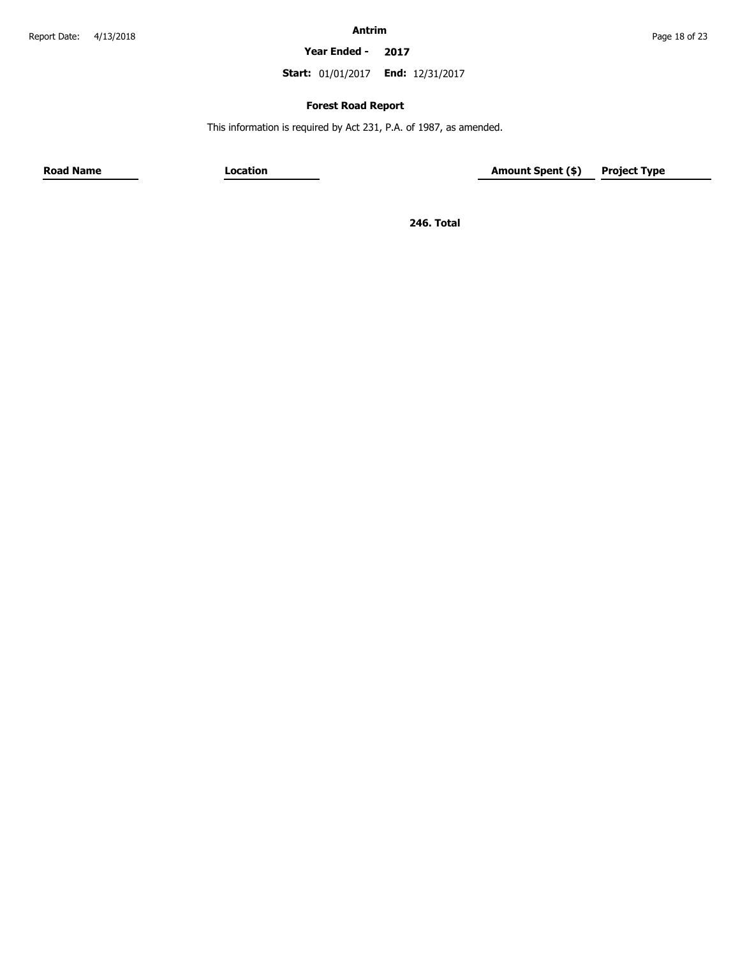**Year Ended - 2017**

**Start:** 01/01/2017 **End:** 12/31/2017

# **Forest Road Report**

This information is required by Act 231, P.A. of 1987, as amended.

**Road Name Location Location Amount Spent (\$) Project Type** 

**246. Total**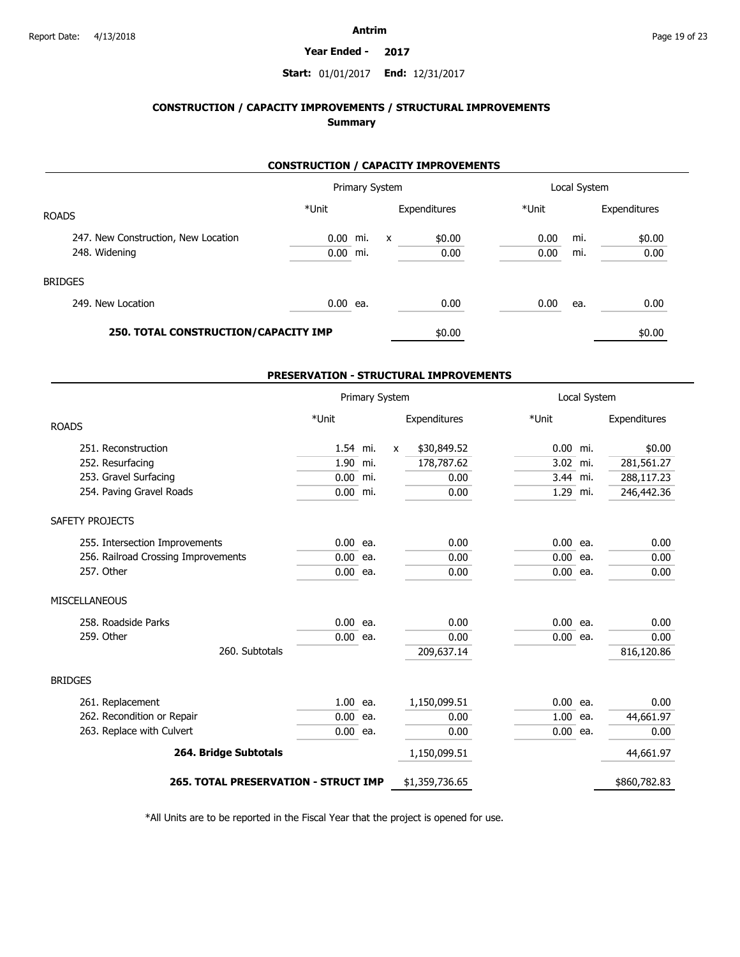#### **Year Ended - 2017**

# **Start:** 01/01/2017 **End:** 12/31/2017

# **CONSTRUCTION / CAPACITY IMPROVEMENTS / STRUCTURAL IMPROVEMENTS Summary**

# **CONSTRUCTION / CAPACITY IMPROVEMENTS**

|                                      |            | Primary System      |              |        |       | Local System |              |
|--------------------------------------|------------|---------------------|--------------|--------|-------|--------------|--------------|
| <b>ROADS</b>                         | *Unit      |                     | Expenditures |        | *Unit |              | Expenditures |
| 247. New Construction, New Location  | 0.00       | mi.<br>$\mathsf{x}$ |              | \$0.00 | 0.00  | mi.          | \$0.00       |
| 248. Widening                        | 0.00       | mi.                 |              | 0.00   | 0.00  | mi.          | 0.00         |
| <b>BRIDGES</b>                       |            |                     |              |        |       |              |              |
| 249. New Location                    | $0.00$ ea. |                     |              | 0.00   | 0.00  | ea.          | 0.00         |
| 250. TOTAL CONSTRUCTION/CAPACITY IMP |            |                     |              | \$0.00 |       |              | \$0.00       |

#### **PRESERVATION - STRUCTURAL IMPROVEMENTS**

|                                             |            | Primary System |   |                |            | Local System |              |
|---------------------------------------------|------------|----------------|---|----------------|------------|--------------|--------------|
| <b>ROADS</b>                                | *Unit      |                |   | Expenditures   | *Unit      |              | Expenditures |
| 251. Reconstruction                         | 1.54 mi.   |                | X | \$30,849.52    | $0.00$ mi. |              | \$0.00       |
| 252. Resurfacing                            | 1.90 mi.   |                |   | 178,787.62     | 3.02 mi.   |              | 281,561.27   |
| 253. Gravel Surfacing                       | 0.00       | mi.            |   | 0.00           | 3.44 mi.   |              | 288,117.23   |
| 254. Paving Gravel Roads                    | $0.00$ mi. |                |   | 0.00           | 1.29 mi.   |              | 246,442.36   |
| SAFETY PROJECTS                             |            |                |   |                |            |              |              |
| 255. Intersection Improvements              | $0.00$ ea. |                |   | 0.00           | $0.00$ ea. |              | 0.00         |
| 256. Railroad Crossing Improvements         | $0.00$ ea. |                |   | 0.00           | $0.00$ ea. |              | 0.00         |
| 257. Other                                  | $0.00$ ea. |                |   | 0.00           | $0.00$ ea. |              | 0.00         |
| <b>MISCELLANEOUS</b>                        |            |                |   |                |            |              |              |
| 258. Roadside Parks                         | 0.00       | ea.            |   | 0.00           | $0.00$ ea. |              | 0.00         |
| 259. Other                                  | $0.00$ ea. |                |   | 0.00           | $0.00$ ea. |              | 0.00         |
| 260. Subtotals                              |            |                |   | 209,637.14     |            |              | 816,120.86   |
| <b>BRIDGES</b>                              |            |                |   |                |            |              |              |
| 261. Replacement                            | $1.00$ ea. |                |   | 1,150,099.51   | $0.00$ ea. |              | 0.00         |
| 262. Recondition or Repair                  | 0.00       | ea.            |   | 0.00           | $1.00$ ea. |              | 44,661.97    |
| 263. Replace with Culvert                   | $0.00$ ea. |                |   | 0.00           | $0.00$ ea. |              | 0.00         |
| 264. Bridge Subtotals                       |            |                |   | 1,150,099.51   |            |              | 44,661.97    |
| <b>265. TOTAL PRESERVATION - STRUCT IMP</b> |            |                |   | \$1,359,736.65 |            |              | \$860,782.83 |

\*All Units are to be reported in the Fiscal Year that the project is opened for use.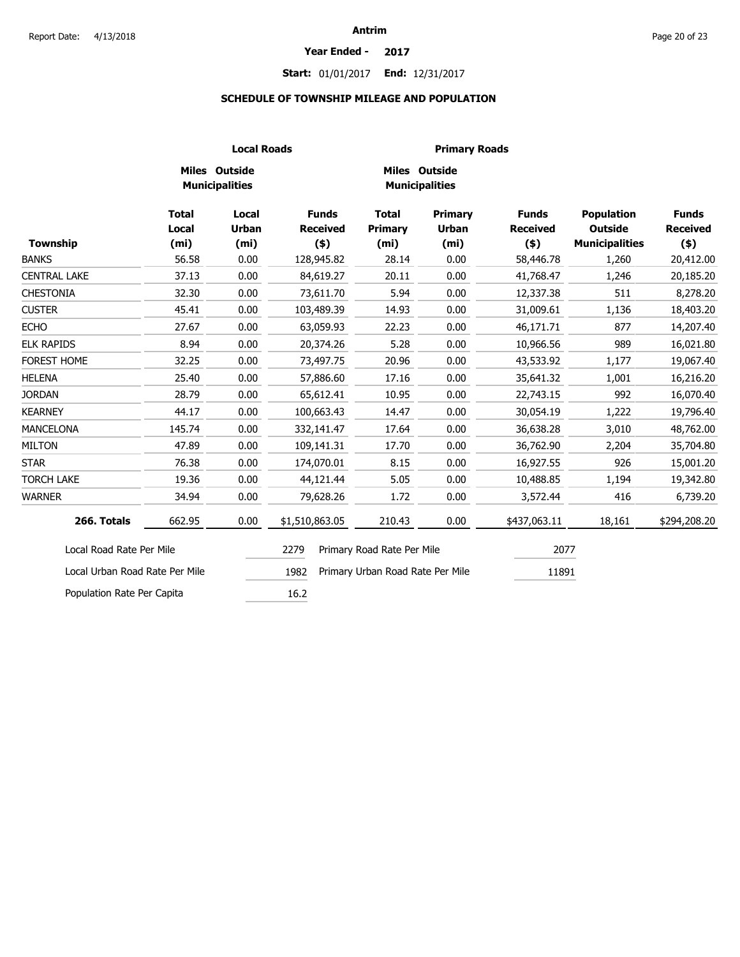#### **Year Ended - 2017**

# **Start:** 01/01/2017 **End:** 12/31/2017

# **SCHEDULE OF TOWNSHIP MILEAGE AND POPULATION**

|                                |                                            |                                        | <b>Local Roads</b><br><b>Primary Roads</b> |                                              |                                                     |                                            |                                                              |                                            |  |
|--------------------------------|--------------------------------------------|----------------------------------------|--------------------------------------------|----------------------------------------------|-----------------------------------------------------|--------------------------------------------|--------------------------------------------------------------|--------------------------------------------|--|
|                                |                                            | Miles Outside<br><b>Municipalities</b> |                                            |                                              | Miles Outside<br><b>Municipalities</b>              |                                            |                                                              |                                            |  |
| Township                       | <b>Total</b><br>Local<br>(m <sub>i</sub> ) | Local<br><b>Urban</b><br>(mi)          | <b>Funds</b><br><b>Received</b><br>$($ \$) | <b>Total</b><br>Primary<br>(m <sub>i</sub> ) | <b>Primary</b><br><b>Urban</b><br>(m <sub>i</sub> ) | <b>Funds</b><br><b>Received</b><br>$($ \$) | <b>Population</b><br><b>Outside</b><br><b>Municipalities</b> | <b>Funds</b><br><b>Received</b><br>$($ \$) |  |
| <b>BANKS</b>                   | 56.58                                      | 0.00                                   | 128,945.82                                 | 28.14                                        | 0.00                                                | 58,446.78                                  | 1,260                                                        | 20,412.00                                  |  |
| <b>CENTRAL LAKE</b>            | 37.13                                      | 0.00                                   | 84,619.27                                  | 20.11                                        | 0.00                                                | 41,768.47                                  | 1,246                                                        | 20,185.20                                  |  |
| <b>CHESTONIA</b>               | 32.30                                      | 0.00                                   | 73,611.70                                  | 5.94                                         | 0.00                                                | 12,337.38                                  | 511                                                          | 8,278.20                                   |  |
| <b>CUSTER</b>                  | 45.41                                      | 0.00                                   | 103,489.39                                 | 14.93                                        | 0.00                                                | 31,009.61                                  | 1,136                                                        | 18,403.20                                  |  |
| <b>ECHO</b>                    | 27.67                                      | 0.00                                   | 63,059.93                                  | 22.23                                        | 0.00                                                | 46,171.71                                  | 877                                                          | 14,207.40                                  |  |
| <b>ELK RAPIDS</b>              | 8.94                                       | 0.00                                   | 20,374.26                                  | 5.28                                         | 0.00                                                | 10,966.56                                  | 989                                                          | 16,021.80                                  |  |
| FOREST HOME                    | 32.25                                      | 0.00                                   | 73,497.75                                  | 20.96                                        | 0.00                                                | 43,533.92                                  | 1,177                                                        | 19,067.40                                  |  |
| <b>HELENA</b>                  | 25.40                                      | 0.00                                   | 57,886.60                                  | 17.16                                        | 0.00                                                | 35,641.32                                  | 1,001                                                        | 16,216.20                                  |  |
| <b>JORDAN</b>                  | 28.79                                      | 0.00                                   | 65,612.41                                  | 10.95                                        | 0.00                                                | 22,743.15                                  | 992                                                          | 16,070.40                                  |  |
| <b>KEARNEY</b>                 | 44.17                                      | 0.00                                   | 100,663.43                                 | 14.47                                        | 0.00                                                | 30,054.19                                  | 1,222                                                        | 19,796.40                                  |  |
| <b>MANCELONA</b>               | 145.74                                     | 0.00                                   | 332,141.47                                 | 17.64                                        | 0.00                                                | 36,638.28                                  | 3,010                                                        | 48,762.00                                  |  |
| <b>MILTON</b>                  | 47.89                                      | 0.00                                   | 109,141.31                                 | 17.70                                        | 0.00                                                | 36,762.90                                  | 2,204                                                        | 35,704.80                                  |  |
| <b>STAR</b>                    | 76.38                                      | 0.00                                   | 174,070.01                                 | 8.15                                         | 0.00                                                | 16,927.55                                  | 926                                                          | 15,001.20                                  |  |
| <b>TORCH LAKE</b>              | 19.36                                      | 0.00                                   | 44,121.44                                  | 5.05                                         | 0.00                                                | 10,488.85                                  | 1,194                                                        | 19,342.80                                  |  |
| <b>WARNER</b>                  | 34.94                                      | 0.00                                   | 79,628.26                                  | 1.72                                         | 0.00                                                | 3,572.44                                   | 416                                                          | 6,739.20                                   |  |
| 266. Totals                    | 662.95                                     | 0.00                                   | \$1,510,863.05                             | 210.43                                       | 0.00                                                | \$437,063.11                               | 18,161                                                       | \$294,208.20                               |  |
| Local Road Rate Per Mile       |                                            |                                        | 2279                                       | Primary Road Rate Per Mile                   |                                                     | 2077                                       |                                                              |                                            |  |
| Local Urban Road Rate Per Mile |                                            |                                        | 1982                                       | Primary Urban Road Rate Per Mile             |                                                     | 11891                                      |                                                              |                                            |  |
| Population Rate Per Capita     |                                            |                                        | 16.2                                       |                                              |                                                     |                                            |                                                              |                                            |  |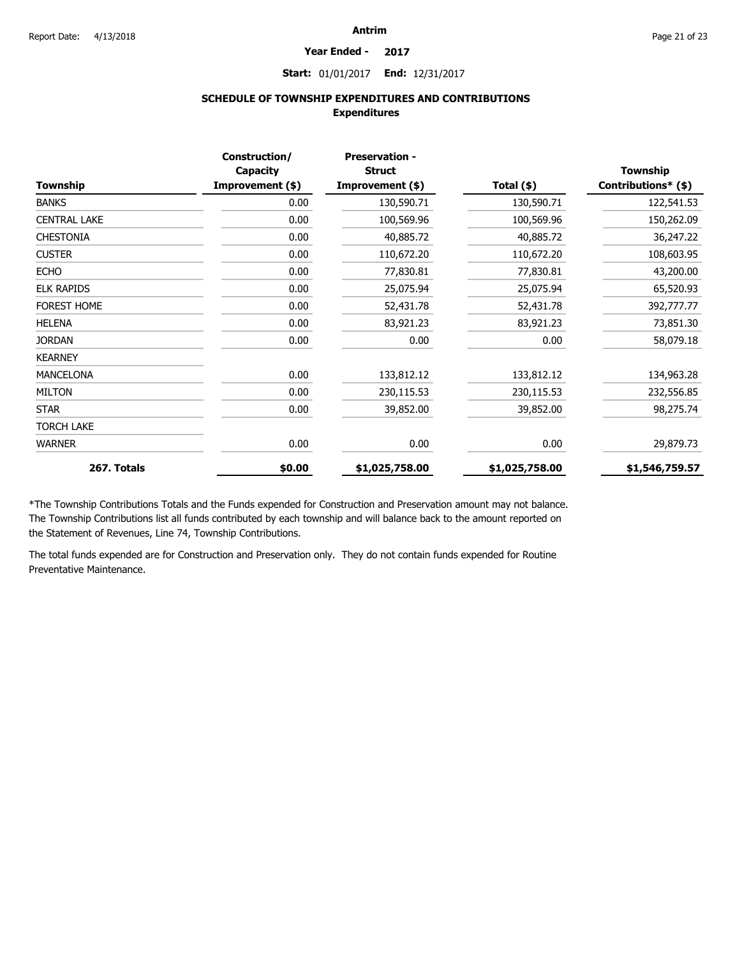#### **Year Ended - 2017**

**Start:** 01/01/2017 **End:** 12/31/2017

# **SCHEDULE OF TOWNSHIP EXPENDITURES AND CONTRIBUTIONS Expenditures**

|                     | Construction/<br>Capacity | <b>Preservation -</b><br><b>Struct</b> |                | <b>Township</b>     |
|---------------------|---------------------------|----------------------------------------|----------------|---------------------|
| Township            | Improvement (\$)          | Improvement (\$)                       | Total (\$)     | Contributions* (\$) |
| <b>BANKS</b>        | 0.00                      | 130,590.71                             | 130,590.71     | 122,541.53          |
| <b>CENTRAL LAKE</b> | 0.00                      | 100,569.96                             | 100,569.96     | 150,262.09          |
| <b>CHESTONIA</b>    | 0.00                      | 40,885.72                              | 40,885.72      | 36,247.22           |
| <b>CUSTER</b>       | 0.00                      | 110,672.20                             | 110,672.20     | 108,603.95          |
| <b>ECHO</b>         | 0.00                      | 77,830.81                              | 77,830.81      | 43,200.00           |
| <b>ELK RAPIDS</b>   | 0.00                      | 25,075.94                              | 25,075.94      | 65,520.93           |
| FOREST HOME         | 0.00                      | 52,431.78                              | 52,431.78      | 392,777.77          |
| <b>HELENA</b>       | 0.00                      | 83,921.23                              | 83,921.23      | 73,851.30           |
| <b>JORDAN</b>       | 0.00                      | 0.00                                   | 0.00           | 58,079.18           |
| <b>KEARNEY</b>      |                           |                                        |                |                     |
| <b>MANCELONA</b>    | 0.00                      | 133,812.12                             | 133,812.12     | 134,963.28          |
| <b>MILTON</b>       | 0.00                      | 230,115.53                             | 230,115.53     | 232,556.85          |
| <b>STAR</b>         | 0.00                      | 39,852.00                              | 39,852.00      | 98,275.74           |
| <b>TORCH LAKE</b>   |                           |                                        |                |                     |
| <b>WARNER</b>       | 0.00                      | 0.00                                   | 0.00           | 29,879.73           |
| 267. Totals         | \$0.00                    | \$1,025,758.00                         | \$1,025,758.00 | \$1,546,759.57      |

\*The Township Contributions Totals and the Funds expended for Construction and Preservation amount may not balance. The Township Contributions list all funds contributed by each township and will balance back to the amount reported on the Statement of Revenues, Line 74, Township Contributions.

The total funds expended are for Construction and Preservation only. They do not contain funds expended for Routine Preventative Maintenance.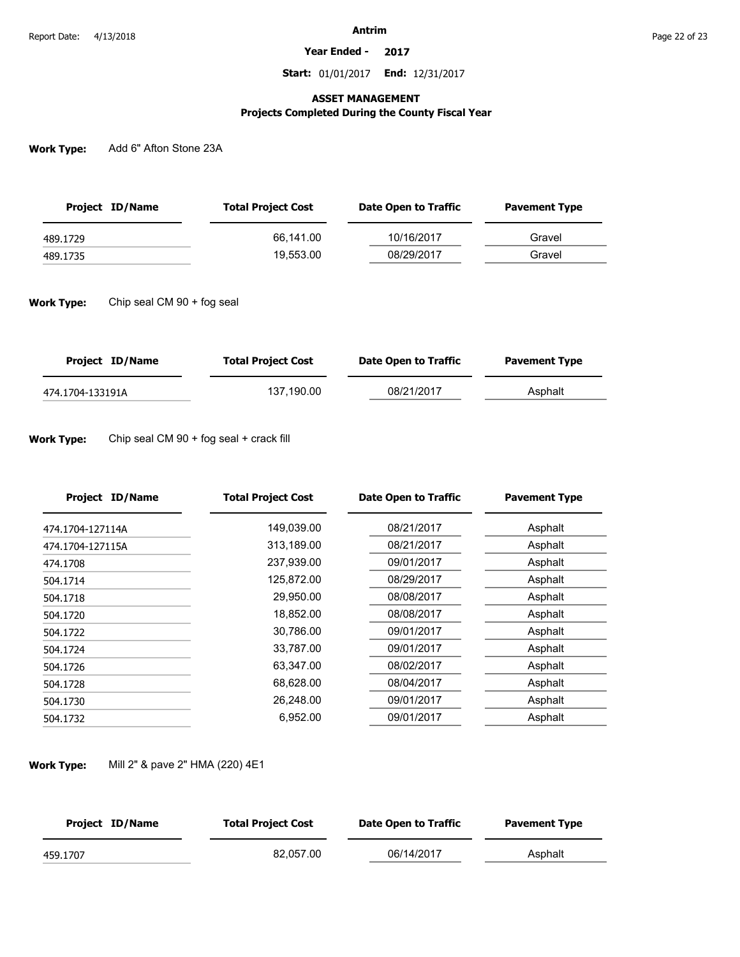**Year Ended - 2017**

**Start:** 01/01/2017 **End:** 12/31/2017

## **ASSET MANAGEMENT**

# **Projects Completed During the County Fiscal Year**

**Work Type:** Add 6" Afton Stone 23A

| Project ID/Name | <b>Total Project Cost</b> | Date Open to Traffic | <b>Pavement Type</b> |  |
|-----------------|---------------------------|----------------------|----------------------|--|
| 489.1729        | 66.141.00                 | 10/16/2017           | Gravel               |  |
| 489.1735        | 19.553.00                 | 08/29/2017           | Gravel               |  |
|                 |                           |                      |                      |  |

**Work Type:** Chip seal CM 90 + fog seal

| Project ID/Name  | <b>Total Project Cost</b> | Date Open to Traffic | <b>Pavement Type</b> |
|------------------|---------------------------|----------------------|----------------------|
| 474.1704-133191A | 137.190.00                | 08/21/2017           | Asphalt              |

#### **Work Type:** Chip seal CM 90 + fog seal + crack fill

| <b>Project ID/Name</b> | <b>Total Project Cost</b> | <b>Date Open to Traffic</b> | <b>Pavement Type</b> |
|------------------------|---------------------------|-----------------------------|----------------------|
| 474.1704-127114A       | 149,039.00                | 08/21/2017                  | Asphalt              |
| 474.1704-127115A       | 313,189.00                | 08/21/2017                  | Asphalt              |
| 474.1708               | 237,939.00                | 09/01/2017                  | Asphalt              |
| 504.1714               | 125,872.00                | 08/29/2017                  | Asphalt              |
| 504.1718               | 29,950.00                 | 08/08/2017                  | Asphalt              |
| 504.1720               | 18,852.00                 | 08/08/2017                  | Asphalt              |
| 504.1722               | 30,786.00                 | 09/01/2017                  | Asphalt              |
| 504.1724               | 33,787.00                 | 09/01/2017                  | Asphalt              |
| 504.1726               | 63,347.00                 | 08/02/2017                  | Asphalt              |
| 504.1728               | 68,628.00                 | 08/04/2017                  | Asphalt              |
| 504.1730               | 26,248.00                 | 09/01/2017                  | Asphalt              |
| 504.1732               | 6,952.00                  | 09/01/2017                  | Asphalt              |

#### **Work Type:** Mill 2" & pave 2" HMA (220) 4E1

| Project ID/Name | <b>Total Project Cost</b> | Date Open to Traffic | <b>Pavement Type</b> |
|-----------------|---------------------------|----------------------|----------------------|
| 459.1707        | 82.057.00                 | 06/14/2017           | Asphalt              |